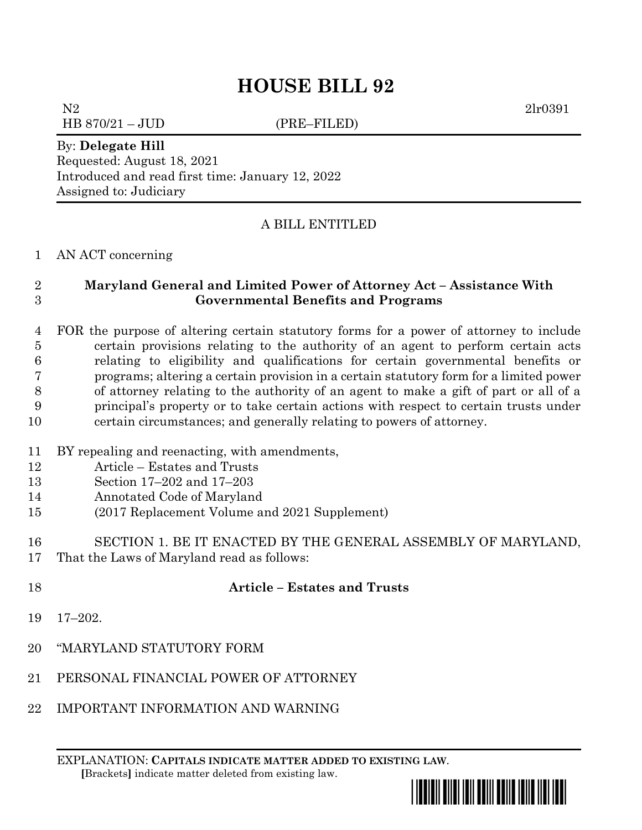N2 2lr0391

HB 870/21 – JUD (PRE–FILED)

By: **Delegate Hill**

Requested: August 18, 2021 Introduced and read first time: January 12, 2022 Assigned to: Judiciary

## A BILL ENTITLED

#### AN ACT concerning

### **Maryland General and Limited Power of Attorney Act – Assistance With Governmental Benefits and Programs**

 FOR the purpose of altering certain statutory forms for a power of attorney to include certain provisions relating to the authority of an agent to perform certain acts relating to eligibility and qualifications for certain governmental benefits or programs; altering a certain provision in a certain statutory form for a limited power of attorney relating to the authority of an agent to make a gift of part or all of a principal's property or to take certain actions with respect to certain trusts under certain circumstances; and generally relating to powers of attorney.

#### BY repealing and reenacting, with amendments,

- Article Estates and Trusts
- Section 17–202 and 17–203
- Annotated Code of Maryland
- (2017 Replacement Volume and 2021 Supplement)
- SECTION 1. BE IT ENACTED BY THE GENERAL ASSEMBLY OF MARYLAND, That the Laws of Maryland read as follows:
- 

## **Article – Estates and Trusts**

- 17–202.
- "MARYLAND STATUTORY FORM
- PERSONAL FINANCIAL POWER OF ATTORNEY
- IMPORTANT INFORMATION AND WARNING

EXPLANATION: **CAPITALS INDICATE MATTER ADDED TO EXISTING LAW**.  **[**Brackets**]** indicate matter deleted from existing law.

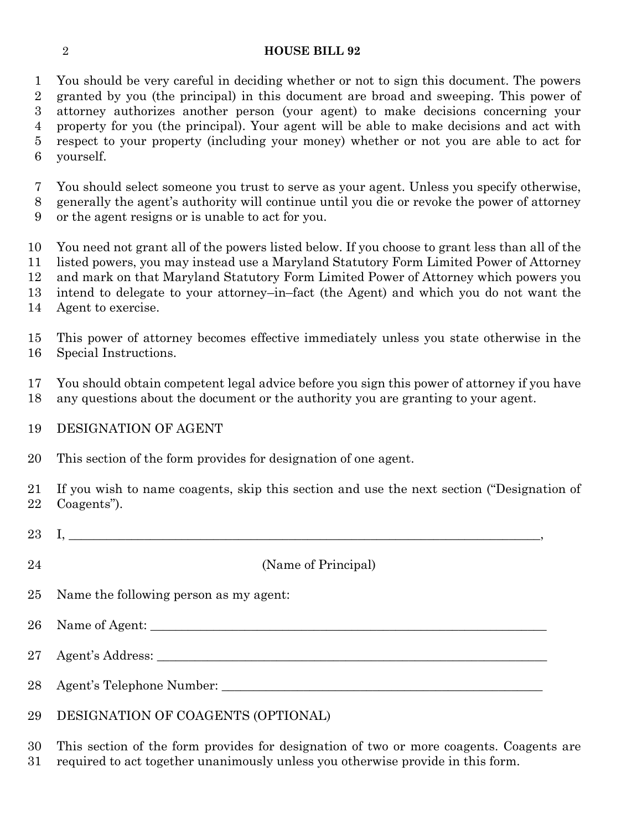You should be very careful in deciding whether or not to sign this document. The powers granted by you (the principal) in this document are broad and sweeping. This power of attorney authorizes another person (your agent) to make decisions concerning your property for you (the principal). Your agent will be able to make decisions and act with respect to your property (including your money) whether or not you are able to act for yourself.

You should select someone you trust to serve as your agent. Unless you specify otherwise,

 generally the agent's authority will continue until you die or revoke the power of attorney or the agent resigns or is unable to act for you.

 You need not grant all of the powers listed below. If you choose to grant less than all of the listed powers, you may instead use a Maryland Statutory Form Limited Power of Attorney and mark on that Maryland Statutory Form Limited Power of Attorney which powers you

intend to delegate to your attorney–in–fact (the Agent) and which you do not want the

Agent to exercise.

 This power of attorney becomes effective immediately unless you state otherwise in the Special Instructions.

 You should obtain competent legal advice before you sign this power of attorney if you have any questions about the document or the authority you are granting to your agent.

## DESIGNATION OF AGENT

This section of the form provides for designation of one agent.

 If you wish to name coagents, skip this section and use the next section ("Designation of Coagents").

- $23 \quad$  I, (Name of Principal) Name the following person as my agent: 26 Name of Agent: Agent's Address: \_\_\_\_\_\_\_\_\_\_\_\_\_\_\_\_\_\_\_\_\_\_\_\_\_\_\_\_\_\_\_\_\_\_\_\_\_\_\_\_\_\_\_\_\_\_\_\_\_\_\_\_\_\_\_\_\_\_\_\_\_\_
- Agent's Telephone Number: \_\_\_\_\_\_\_\_\_\_\_\_\_\_\_\_\_\_\_\_\_\_\_\_\_\_\_\_\_\_\_\_\_\_\_\_\_\_\_\_\_\_\_\_\_\_\_\_\_\_\_

## DESIGNATION OF COAGENTS (OPTIONAL)

 This section of the form provides for designation of two or more coagents. Coagents are required to act together unanimously unless you otherwise provide in this form.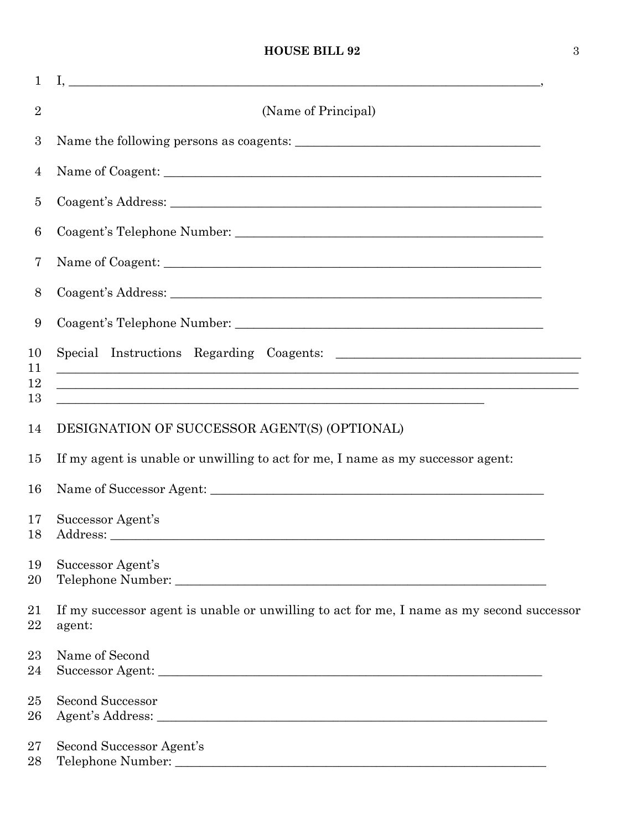| $\mathbf{1}$    |                                                                                                     |  |  |  |
|-----------------|-----------------------------------------------------------------------------------------------------|--|--|--|
| $\overline{2}$  | (Name of Principal)                                                                                 |  |  |  |
| 3               |                                                                                                     |  |  |  |
| 4               |                                                                                                     |  |  |  |
| 5               |                                                                                                     |  |  |  |
| $6\phantom{.}6$ |                                                                                                     |  |  |  |
| 7               |                                                                                                     |  |  |  |
| 8               |                                                                                                     |  |  |  |
| 9               |                                                                                                     |  |  |  |
| 10<br>11        | <u> 1989 - Johann Stoff, amerikansk politiker (d. 1989)</u>                                         |  |  |  |
| 12<br>13        | <u> 1989 - Johann Stoff, amerikansk politiker (d. 1989)</u>                                         |  |  |  |
| 14              | DESIGNATION OF SUCCESSOR AGENT(S) (OPTIONAL)                                                        |  |  |  |
| 15              | If my agent is unable or unwilling to act for me, I name as my successor agent:                     |  |  |  |
| 16              |                                                                                                     |  |  |  |
| 17<br>18        | Successor Agent's                                                                                   |  |  |  |
| 19<br>20        | Successor Agent's                                                                                   |  |  |  |
| 21<br>22        | If my successor agent is unable or unwilling to act for me, I name as my second successor<br>agent: |  |  |  |
| 23<br>24        | Name of Second                                                                                      |  |  |  |
| 25<br>26        | <b>Second Successor</b>                                                                             |  |  |  |
| $27\,$<br>28    | Second Successor Agent's                                                                            |  |  |  |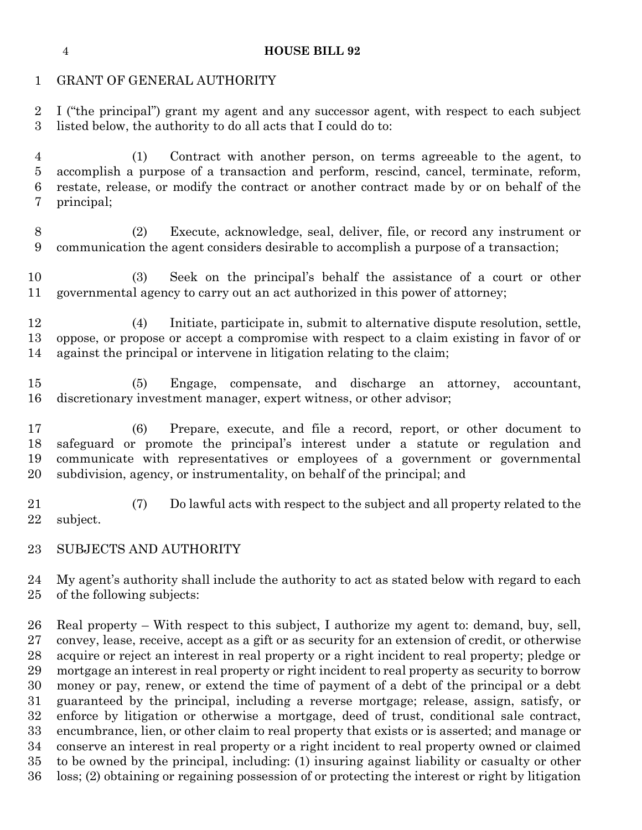#### GRANT OF GENERAL AUTHORITY

 I ("the principal") grant my agent and any successor agent, with respect to each subject listed below, the authority to do all acts that I could do to:

 (1) Contract with another person, on terms agreeable to the agent, to accomplish a purpose of a transaction and perform, rescind, cancel, terminate, reform, restate, release, or modify the contract or another contract made by or on behalf of the principal;

 (2) Execute, acknowledge, seal, deliver, file, or record any instrument or communication the agent considers desirable to accomplish a purpose of a transaction;

 (3) Seek on the principal's behalf the assistance of a court or other governmental agency to carry out an act authorized in this power of attorney;

 (4) Initiate, participate in, submit to alternative dispute resolution, settle, oppose, or propose or accept a compromise with respect to a claim existing in favor of or against the principal or intervene in litigation relating to the claim;

 (5) Engage, compensate, and discharge an attorney, accountant, discretionary investment manager, expert witness, or other advisor;

 (6) Prepare, execute, and file a record, report, or other document to safeguard or promote the principal's interest under a statute or regulation and communicate with representatives or employees of a government or governmental subdivision, agency, or instrumentality, on behalf of the principal; and

 (7) Do lawful acts with respect to the subject and all property related to the subject.

SUBJECTS AND AUTHORITY

 My agent's authority shall include the authority to act as stated below with regard to each of the following subjects:

 Real property – With respect to this subject, I authorize my agent to: demand, buy, sell, convey, lease, receive, accept as a gift or as security for an extension of credit, or otherwise acquire or reject an interest in real property or a right incident to real property; pledge or mortgage an interest in real property or right incident to real property as security to borrow money or pay, renew, or extend the time of payment of a debt of the principal or a debt guaranteed by the principal, including a reverse mortgage; release, assign, satisfy, or enforce by litigation or otherwise a mortgage, deed of trust, conditional sale contract, encumbrance, lien, or other claim to real property that exists or is asserted; and manage or conserve an interest in real property or a right incident to real property owned or claimed to be owned by the principal, including: (1) insuring against liability or casualty or other loss; (2) obtaining or regaining possession of or protecting the interest or right by litigation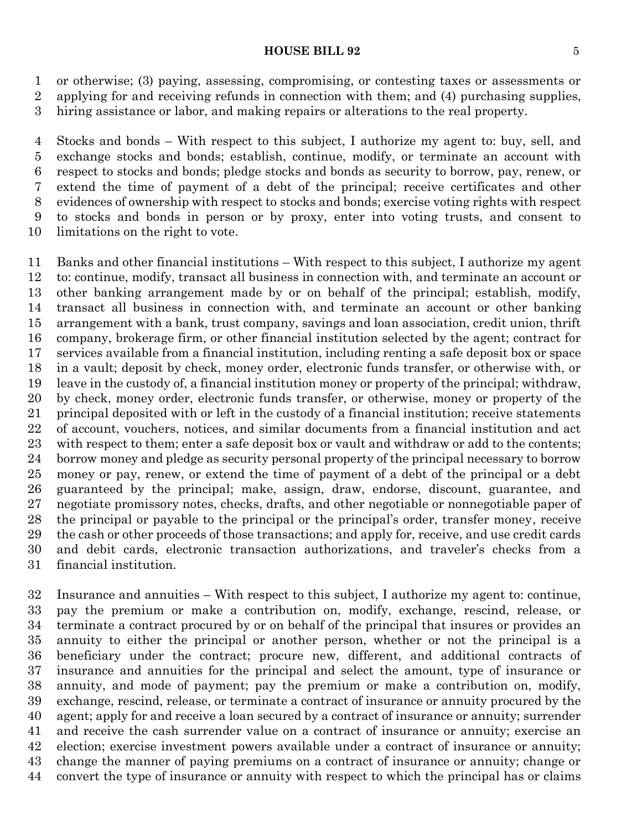or otherwise; (3) paying, assessing, compromising, or contesting taxes or assessments or applying for and receiving refunds in connection with them; and (4) purchasing supplies, hiring assistance or labor, and making repairs or alterations to the real property.

 Stocks and bonds – With respect to this subject, I authorize my agent to: buy, sell, and exchange stocks and bonds; establish, continue, modify, or terminate an account with respect to stocks and bonds; pledge stocks and bonds as security to borrow, pay, renew, or extend the time of payment of a debt of the principal; receive certificates and other evidences of ownership with respect to stocks and bonds; exercise voting rights with respect to stocks and bonds in person or by proxy, enter into voting trusts, and consent to limitations on the right to vote.

 Banks and other financial institutions – With respect to this subject, I authorize my agent to: continue, modify, transact all business in connection with, and terminate an account or other banking arrangement made by or on behalf of the principal; establish, modify, transact all business in connection with, and terminate an account or other banking arrangement with a bank, trust company, savings and loan association, credit union, thrift company, brokerage firm, or other financial institution selected by the agent; contract for services available from a financial institution, including renting a safe deposit box or space in a vault; deposit by check, money order, electronic funds transfer, or otherwise with, or leave in the custody of, a financial institution money or property of the principal; withdraw, by check, money order, electronic funds transfer, or otherwise, money or property of the principal deposited with or left in the custody of a financial institution; receive statements of account, vouchers, notices, and similar documents from a financial institution and act with respect to them; enter a safe deposit box or vault and withdraw or add to the contents; borrow money and pledge as security personal property of the principal necessary to borrow money or pay, renew, or extend the time of payment of a debt of the principal or a debt guaranteed by the principal; make, assign, draw, endorse, discount, guarantee, and negotiate promissory notes, checks, drafts, and other negotiable or nonnegotiable paper of the principal or payable to the principal or the principal's order, transfer money, receive the cash or other proceeds of those transactions; and apply for, receive, and use credit cards and debit cards, electronic transaction authorizations, and traveler's checks from a financial institution.

 Insurance and annuities – With respect to this subject, I authorize my agent to: continue, pay the premium or make a contribution on, modify, exchange, rescind, release, or terminate a contract procured by or on behalf of the principal that insures or provides an annuity to either the principal or another person, whether or not the principal is a beneficiary under the contract; procure new, different, and additional contracts of insurance and annuities for the principal and select the amount, type of insurance or annuity, and mode of payment; pay the premium or make a contribution on, modify, exchange, rescind, release, or terminate a contract of insurance or annuity procured by the agent; apply for and receive a loan secured by a contract of insurance or annuity; surrender and receive the cash surrender value on a contract of insurance or annuity; exercise an election; exercise investment powers available under a contract of insurance or annuity; change the manner of paying premiums on a contract of insurance or annuity; change or convert the type of insurance or annuity with respect to which the principal has or claims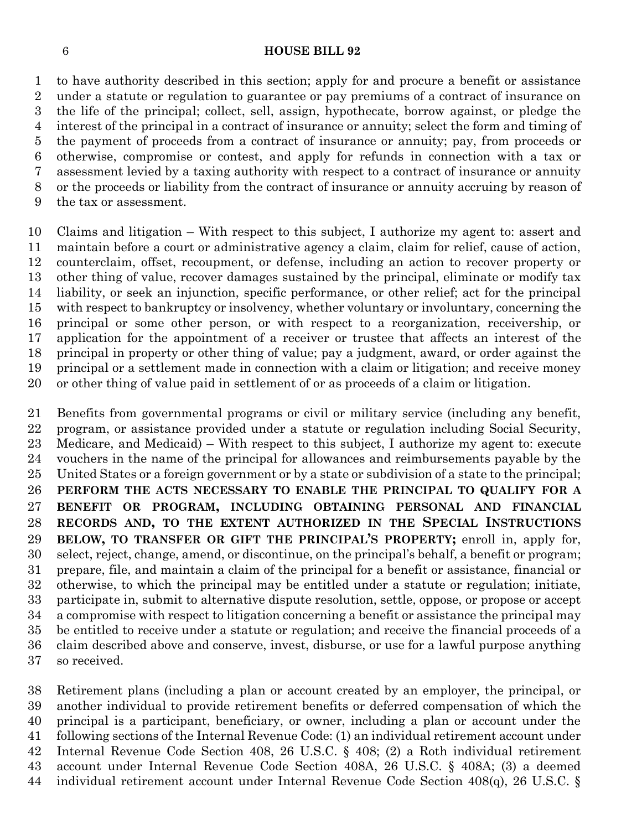to have authority described in this section; apply for and procure a benefit or assistance under a statute or regulation to guarantee or pay premiums of a contract of insurance on the life of the principal; collect, sell, assign, hypothecate, borrow against, or pledge the interest of the principal in a contract of insurance or annuity; select the form and timing of the payment of proceeds from a contract of insurance or annuity; pay, from proceeds or otherwise, compromise or contest, and apply for refunds in connection with a tax or assessment levied by a taxing authority with respect to a contract of insurance or annuity or the proceeds or liability from the contract of insurance or annuity accruing by reason of the tax or assessment.

 Claims and litigation – With respect to this subject, I authorize my agent to: assert and maintain before a court or administrative agency a claim, claim for relief, cause of action, counterclaim, offset, recoupment, or defense, including an action to recover property or other thing of value, recover damages sustained by the principal, eliminate or modify tax liability, or seek an injunction, specific performance, or other relief; act for the principal with respect to bankruptcy or insolvency, whether voluntary or involuntary, concerning the principal or some other person, or with respect to a reorganization, receivership, or application for the appointment of a receiver or trustee that affects an interest of the principal in property or other thing of value; pay a judgment, award, or order against the principal or a settlement made in connection with a claim or litigation; and receive money or other thing of value paid in settlement of or as proceeds of a claim or litigation.

 Benefits from governmental programs or civil or military service (including any benefit, program, or assistance provided under a statute or regulation including Social Security, Medicare, and Medicaid) – With respect to this subject, I authorize my agent to: execute vouchers in the name of the principal for allowances and reimbursements payable by the United States or a foreign government or by a state or subdivision of a state to the principal; **PERFORM THE ACTS NECESSARY TO ENABLE THE PRINCIPAL TO QUALIFY FOR A BENEFIT OR PROGRAM, INCLUDING OBTAINING PERSONAL AND FINANCIAL RECORDS AND, TO THE EXTENT AUTHORIZED IN THE SPECIAL INSTRUCTIONS BELOW, TO TRANSFER OR GIFT THE PRINCIPAL'S PROPERTY;** enroll in, apply for, select, reject, change, amend, or discontinue, on the principal's behalf, a benefit or program; prepare, file, and maintain a claim of the principal for a benefit or assistance, financial or otherwise, to which the principal may be entitled under a statute or regulation; initiate, participate in, submit to alternative dispute resolution, settle, oppose, or propose or accept a compromise with respect to litigation concerning a benefit or assistance the principal may be entitled to receive under a statute or regulation; and receive the financial proceeds of a claim described above and conserve, invest, disburse, or use for a lawful purpose anything so received.

 Retirement plans (including a plan or account created by an employer, the principal, or another individual to provide retirement benefits or deferred compensation of which the principal is a participant, beneficiary, or owner, including a plan or account under the following sections of the Internal Revenue Code: (1) an individual retirement account under Internal Revenue Code Section 408, 26 U.S.C. § 408; (2) a Roth individual retirement account under Internal Revenue Code Section 408A, 26 U.S.C. § 408A; (3) a deemed individual retirement account under Internal Revenue Code Section 408(q), 26 U.S.C. §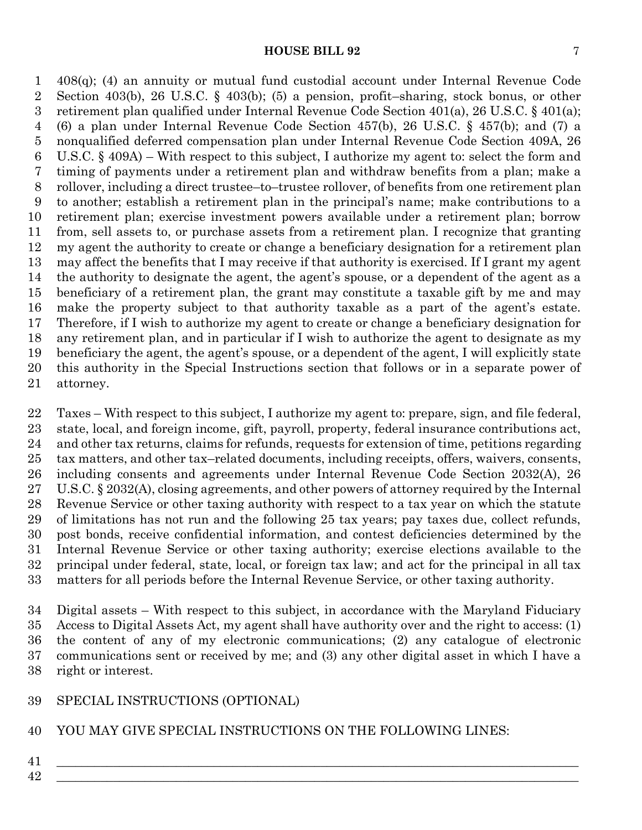408(q); (4) an annuity or mutual fund custodial account under Internal Revenue Code Section 403(b), 26 U.S.C. § 403(b); (5) a pension, profit–sharing, stock bonus, or other retirement plan qualified under Internal Revenue Code Section 401(a), 26 U.S.C. § 401(a); (6) a plan under Internal Revenue Code Section 457(b), 26 U.S.C. § 457(b); and (7) a nonqualified deferred compensation plan under Internal Revenue Code Section 409A, 26 U.S.C. § 409A) – With respect to this subject, I authorize my agent to: select the form and timing of payments under a retirement plan and withdraw benefits from a plan; make a rollover, including a direct trustee–to–trustee rollover, of benefits from one retirement plan to another; establish a retirement plan in the principal's name; make contributions to a retirement plan; exercise investment powers available under a retirement plan; borrow from, sell assets to, or purchase assets from a retirement plan. I recognize that granting my agent the authority to create or change a beneficiary designation for a retirement plan may affect the benefits that I may receive if that authority is exercised. If I grant my agent the authority to designate the agent, the agent's spouse, or a dependent of the agent as a beneficiary of a retirement plan, the grant may constitute a taxable gift by me and may make the property subject to that authority taxable as a part of the agent's estate. Therefore, if I wish to authorize my agent to create or change a beneficiary designation for any retirement plan, and in particular if I wish to authorize the agent to designate as my beneficiary the agent, the agent's spouse, or a dependent of the agent, I will explicitly state this authority in the Special Instructions section that follows or in a separate power of attorney.

 Taxes – With respect to this subject, I authorize my agent to: prepare, sign, and file federal, state, local, and foreign income, gift, payroll, property, federal insurance contributions act, and other tax returns, claims for refunds, requests for extension of time, petitions regarding tax matters, and other tax–related documents, including receipts, offers, waivers, consents, including consents and agreements under Internal Revenue Code Section 2032(A), 26 U.S.C. § 2032(A), closing agreements, and other powers of attorney required by the Internal Revenue Service or other taxing authority with respect to a tax year on which the statute of limitations has not run and the following 25 tax years; pay taxes due, collect refunds, post bonds, receive confidential information, and contest deficiencies determined by the Internal Revenue Service or other taxing authority; exercise elections available to the principal under federal, state, local, or foreign tax law; and act for the principal in all tax matters for all periods before the Internal Revenue Service, or other taxing authority.

 Digital assets – With respect to this subject, in accordance with the Maryland Fiduciary Access to Digital Assets Act, my agent shall have authority over and the right to access: (1) the content of any of my electronic communications; (2) any catalogue of electronic communications sent or received by me; and (3) any other digital asset in which I have a right or interest.

## SPECIAL INSTRUCTIONS (OPTIONAL)

#### YOU MAY GIVE SPECIAL INSTRUCTIONS ON THE FOLLOWING LINES:

- \_\_\_\_\_\_\_\_\_\_\_\_\_\_\_\_\_\_\_\_\_\_\_\_\_\_\_\_\_\_\_\_\_\_\_\_\_\_\_\_\_\_\_\_\_\_\_\_\_\_\_\_\_\_\_\_\_\_\_\_\_\_\_\_\_\_\_\_\_\_\_\_\_\_\_\_\_\_\_\_\_\_\_
- $42 \tfrac{1}{2}$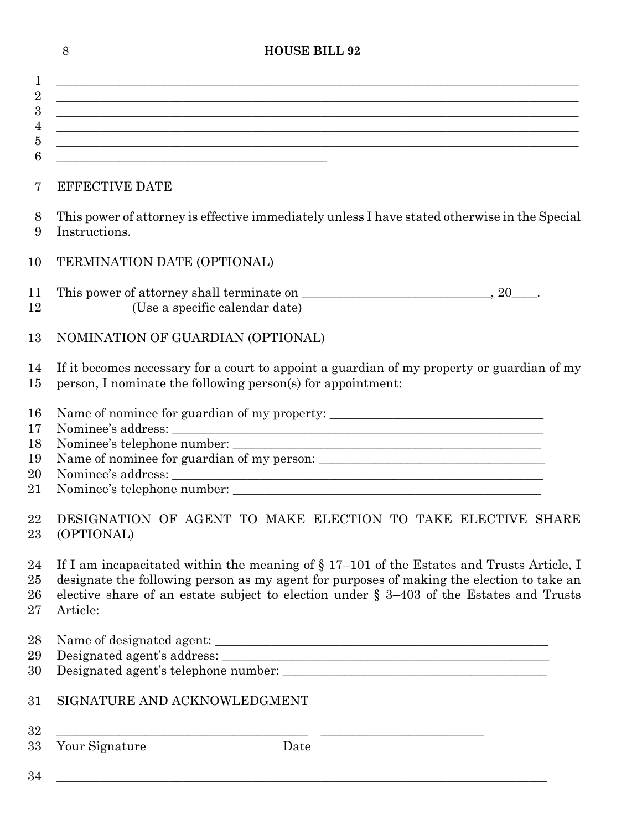|                                  | 8<br><b>HOUSE BILL 92</b>                                                                                                                                                                                                                                                                           |  |
|----------------------------------|-----------------------------------------------------------------------------------------------------------------------------------------------------------------------------------------------------------------------------------------------------------------------------------------------------|--|
| 1                                | <u> 1989 - Johann Stoff, deutscher Stoffen und der Stoffen und der Stoffen und der Stoffen und der Stoffen und de</u>                                                                                                                                                                               |  |
| $\overline{2}$<br>$\overline{3}$ | ,我们也不能在这里的时候,我们也不能在这里的时候,我们也不能会在这里的时候,我们也不能会在这里的时候,我们也不能会在这里的时候,我们也不能会在这里的时候,我们也不                                                                                                                                                                                                                   |  |
| 4                                | <u> 1989 - Johann Stoff, amerikansk politiker (d. 1989)</u>                                                                                                                                                                                                                                         |  |
| $\bf 5$<br>6                     | <u> 1989 - Johann Barbara, marka marka masjid aka masjid aka masjid aka masjid aka masjid aka masjid aka masjid a</u><br><u> 1980 - John Stein, mars and de Barbara (b. 1980)</u>                                                                                                                   |  |
| 7                                | <b>EFFECTIVE DATE</b>                                                                                                                                                                                                                                                                               |  |
| 8<br>9                           | This power of attorney is effective immediately unless I have stated otherwise in the Special<br>Instructions.                                                                                                                                                                                      |  |
| 10                               | TERMINATION DATE (OPTIONAL)                                                                                                                                                                                                                                                                         |  |
| 11<br>12                         | (Use a specific calendar date)                                                                                                                                                                                                                                                                      |  |
| 13                               | NOMINATION OF GUARDIAN (OPTIONAL)                                                                                                                                                                                                                                                                   |  |
| 14<br>15                         | If it becomes necessary for a court to appoint a guardian of my property or guardian of my<br>person, I nominate the following person(s) for appointment:                                                                                                                                           |  |
| 16                               | Name of nominee for guardian of my property: ___________________________________                                                                                                                                                                                                                    |  |
| 17<br>18                         |                                                                                                                                                                                                                                                                                                     |  |
| 19                               |                                                                                                                                                                                                                                                                                                     |  |
| 20<br>21                         |                                                                                                                                                                                                                                                                                                     |  |
| 22<br>23                         | DESIGNATION OF AGENT TO MAKE ELECTION TO TAKE ELECTIVE SHARE<br>(OPTIONAL)                                                                                                                                                                                                                          |  |
| 24<br>25<br>26<br>27             | If I am incapacitated within the meaning of $\S 17-101$ of the Estates and Trusts Article, I<br>designate the following person as my agent for purposes of making the election to take an<br>elective share of an estate subject to election under $\S$ 3-403 of the Estates and Trusts<br>Article: |  |
| 28<br>29                         |                                                                                                                                                                                                                                                                                                     |  |
| 30                               |                                                                                                                                                                                                                                                                                                     |  |
| 31                               | SIGNATURE AND ACKNOWLEDGMENT                                                                                                                                                                                                                                                                        |  |
| 32<br>33                         | <u> 1989 - Andrea Station, amerikan bestean ing disebut di parti di parti di parti di parti di parti di parti di</u><br>Your Signature<br>Date                                                                                                                                                      |  |
| 34                               |                                                                                                                                                                                                                                                                                                     |  |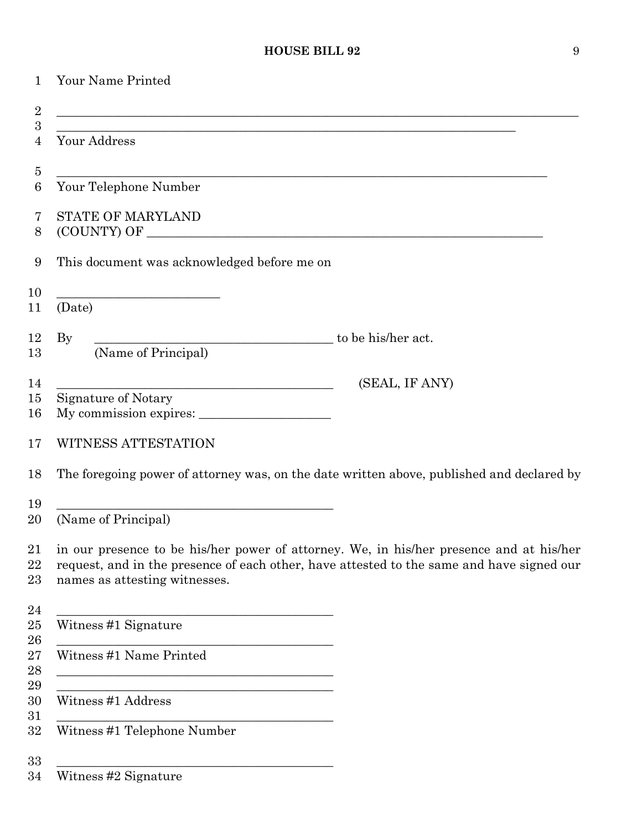| 1                     | Your Name Printed                                                                                                                                                                                                     |                |
|-----------------------|-----------------------------------------------------------------------------------------------------------------------------------------------------------------------------------------------------------------------|----------------|
| $\overline{2}$        |                                                                                                                                                                                                                       |                |
| $\boldsymbol{3}$<br>4 | ,我们也不能在这里的人,我们也不能在这里的人,我们也不能在这里的人,我们也不能在这里的人,我们也不能在这里的人,我们也不能在这里的人,我们也不能在这里的人,我们也<br>Your Address                                                                                                                     |                |
| $\overline{5}$        |                                                                                                                                                                                                                       |                |
| 6                     | Your Telephone Number                                                                                                                                                                                                 |                |
| 7<br>8                | <b>STATE OF MARYLAND</b>                                                                                                                                                                                              |                |
| 9                     | This document was acknowledged before me on                                                                                                                                                                           |                |
| 10<br>11              | the control of the control of the control of the control of the control of the control of<br>(Date)                                                                                                                   |                |
| 12                    | to be his/her act.<br>$\rm\,By$                                                                                                                                                                                       |                |
| 13                    | (Name of Principal)                                                                                                                                                                                                   |                |
| 14                    | <u> 1989 - Johann Barn, mars ann an t-Amhain Aonaich an t-Aonaich an t-Aonaich ann an t-Aonaich ann an t-Aonaich</u>                                                                                                  | (SEAL, IF ANY) |
| 15<br>16              | Signature of Notary                                                                                                                                                                                                   |                |
| 17                    | WITNESS ATTESTATION                                                                                                                                                                                                   |                |
| 18                    | The foregoing power of attorney was, on the date written above, published and declared by                                                                                                                             |                |
| 19<br>20              | (Name of Principal)                                                                                                                                                                                                   |                |
| 21<br>22<br>23        | in our presence to be his/her power of attorney. We, in his/her presence and at his/her<br>request, and in the presence of each other, have attested to the same and have signed our<br>names as attesting witnesses. |                |
| 24<br>25<br>26        | <u> 1989 - Johann Barbara, martxa alemaniar a</u><br>Witness #1 Signature                                                                                                                                             |                |
| 27<br>28<br>29        | Witness #1 Name Printed<br><u> 1989 - Johann Barbara, martxa alemaniar amerikan basar da a</u>                                                                                                                        |                |
| 30<br>31              | <u> 1989 - Johann Stein, marwolaethau a bhann an t-Amhair ann an t-Amhair an t-Amhair an t-Amhair an t-Amhair an</u><br>Witness #1 Address                                                                            |                |
| 32                    | Witness #1 Telephone Number                                                                                                                                                                                           |                |
| 33<br>34              | Witness #2 Signature                                                                                                                                                                                                  |                |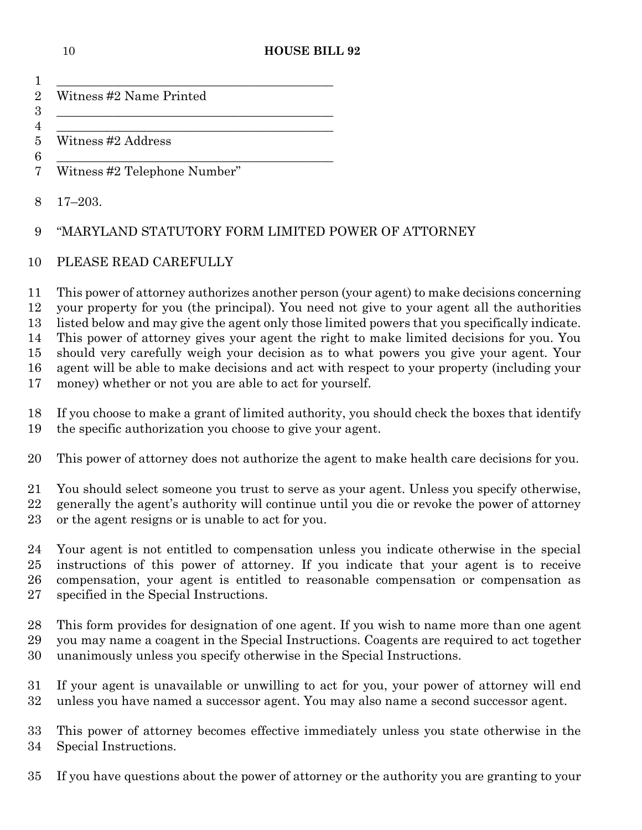| 1                                      |                                                                                                                                                                                                                                                                                                                                                                                                                                                                                                                                                                                                                                         |
|----------------------------------------|-----------------------------------------------------------------------------------------------------------------------------------------------------------------------------------------------------------------------------------------------------------------------------------------------------------------------------------------------------------------------------------------------------------------------------------------------------------------------------------------------------------------------------------------------------------------------------------------------------------------------------------------|
| $\overline{2}$<br>$\boldsymbol{3}$     | Witness #2 Name Printed                                                                                                                                                                                                                                                                                                                                                                                                                                                                                                                                                                                                                 |
| 4<br>$\overline{5}$                    | Witness #2 Address                                                                                                                                                                                                                                                                                                                                                                                                                                                                                                                                                                                                                      |
| 6<br>7                                 | Witness #2 Telephone Number"                                                                                                                                                                                                                                                                                                                                                                                                                                                                                                                                                                                                            |
| 8                                      | $17 - 203.$                                                                                                                                                                                                                                                                                                                                                                                                                                                                                                                                                                                                                             |
| 9                                      | "MARYLAND STATUTORY FORM LIMITED POWER OF ATTORNEY                                                                                                                                                                                                                                                                                                                                                                                                                                                                                                                                                                                      |
| 10                                     | PLEASE READ CAREFULLY                                                                                                                                                                                                                                                                                                                                                                                                                                                                                                                                                                                                                   |
| 11<br>12<br>13<br>14<br>15<br>16<br>17 | This power of attorney authorizes another person (your agent) to make decisions concerning<br>your property for you (the principal). You need not give to your agent all the authorities<br>listed below and may give the agent only those limited powers that you specifically indicate.<br>This power of attorney gives your agent the right to make limited decisions for you. You<br>should very carefully weigh your decision as to what powers you give your agent. Your<br>agent will be able to make decisions and act with respect to your property (including your<br>money) whether or not you are able to act for yourself. |
| 18<br>19                               | If you choose to make a grant of limited authority, you should check the boxes that identify<br>the specific authorization you choose to give your agent.                                                                                                                                                                                                                                                                                                                                                                                                                                                                               |
| 20                                     | This power of attorney does not authorize the agent to make health care decisions for you.                                                                                                                                                                                                                                                                                                                                                                                                                                                                                                                                              |
| 21<br>22<br>23                         | You should select someone you trust to serve as your agent. Unless you specify otherwise,<br>generally the agent's authority will continue until you die or revoke the power of attorney<br>or the agent resigns or is unable to act for you.                                                                                                                                                                                                                                                                                                                                                                                           |
| 24<br>25<br>26<br>27                   | Your agent is not entitled to compensation unless you indicate otherwise in the special<br>instructions of this power of attorney. If you indicate that your agent is to receive<br>compensation, your agent is entitled to reasonable compensation or compensation as<br>specified in the Special Instructions.                                                                                                                                                                                                                                                                                                                        |
| 28<br>29<br>30                         | This form provides for designation of one agent. If you wish to name more than one agent<br>you may name a coagent in the Special Instructions. Coagents are required to act together<br>unanimously unless you specify otherwise in the Special Instructions.                                                                                                                                                                                                                                                                                                                                                                          |
| 31<br>32                               | If your agent is unavailable or unwilling to act for you, your power of attorney will end<br>unless you have named a successor agent. You may also name a second successor agent.                                                                                                                                                                                                                                                                                                                                                                                                                                                       |
| 33<br>34                               | This power of attorney becomes effective immediately unless you state otherwise in the<br>Special Instructions.                                                                                                                                                                                                                                                                                                                                                                                                                                                                                                                         |

If you have questions about the power of attorney or the authority you are granting to your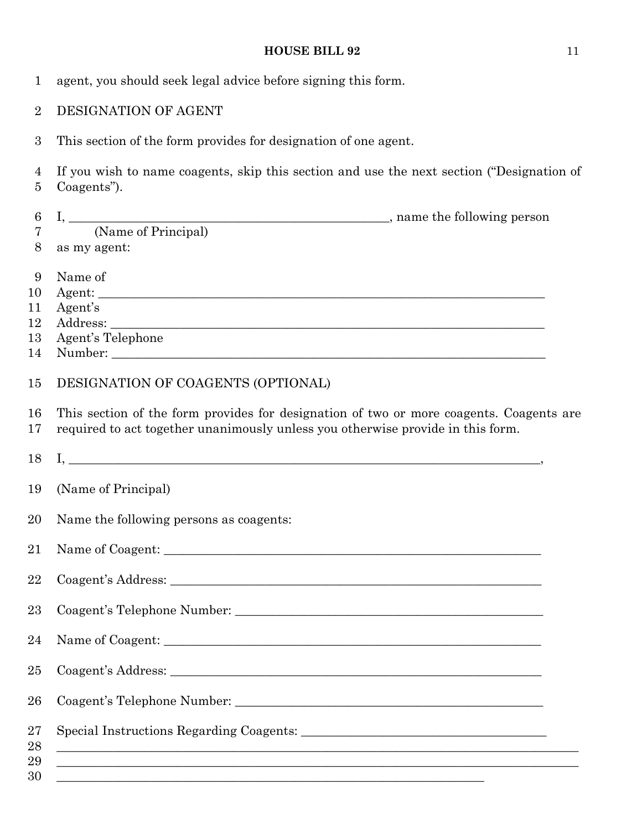| $\mathbf{1}$     | agent, you should seek legal advice before signing this form.                                                                                                                                                                                                                                                                                                                                                                                                                                                                                                                                                                                              |  |
|------------------|------------------------------------------------------------------------------------------------------------------------------------------------------------------------------------------------------------------------------------------------------------------------------------------------------------------------------------------------------------------------------------------------------------------------------------------------------------------------------------------------------------------------------------------------------------------------------------------------------------------------------------------------------------|--|
| $\overline{2}$   | DESIGNATION OF AGENT                                                                                                                                                                                                                                                                                                                                                                                                                                                                                                                                                                                                                                       |  |
| 3                | This section of the form provides for designation of one agent.                                                                                                                                                                                                                                                                                                                                                                                                                                                                                                                                                                                            |  |
| 4<br>5           | If you wish to name coagents, skip this section and use the next section ("Designation of<br>Coagents").                                                                                                                                                                                                                                                                                                                                                                                                                                                                                                                                                   |  |
| $\boldsymbol{6}$ |                                                                                                                                                                                                                                                                                                                                                                                                                                                                                                                                                                                                                                                            |  |
| $\overline{7}$   |                                                                                                                                                                                                                                                                                                                                                                                                                                                                                                                                                                                                                                                            |  |
| 8                | as my agent:                                                                                                                                                                                                                                                                                                                                                                                                                                                                                                                                                                                                                                               |  |
| 9                | Name of                                                                                                                                                                                                                                                                                                                                                                                                                                                                                                                                                                                                                                                    |  |
| 10               |                                                                                                                                                                                                                                                                                                                                                                                                                                                                                                                                                                                                                                                            |  |
| 11               | Agent's                                                                                                                                                                                                                                                                                                                                                                                                                                                                                                                                                                                                                                                    |  |
| 12               |                                                                                                                                                                                                                                                                                                                                                                                                                                                                                                                                                                                                                                                            |  |
| 13               | Agent's Telephone                                                                                                                                                                                                                                                                                                                                                                                                                                                                                                                                                                                                                                          |  |
| 14               |                                                                                                                                                                                                                                                                                                                                                                                                                                                                                                                                                                                                                                                            |  |
| 15               | DESIGNATION OF COAGENTS (OPTIONAL)                                                                                                                                                                                                                                                                                                                                                                                                                                                                                                                                                                                                                         |  |
| 16<br>17         | This section of the form provides for designation of two or more coagents. Coagents are<br>required to act together unanimously unless you otherwise provide in this form.                                                                                                                                                                                                                                                                                                                                                                                                                                                                                 |  |
| 18               | $\overline{I}, \underline{\hspace{2cm}}, \underline{\hspace{2cm}}, \underline{\hspace{2cm}}, \underline{\hspace{2cm}}, \underline{\hspace{2cm}}, \underline{\hspace{2cm}}, \underline{\hspace{2cm}}, \underline{\hspace{2cm}}, \underline{\hspace{2cm}}, \underline{\hspace{2cm}}, \underline{\hspace{2cm}}, \underline{\hspace{2cm}}, \underline{\hspace{2cm}}, \underline{\hspace{2cm}}, \underline{\hspace{2cm}}, \underline{\hspace{2cm}}, \underline{\hspace{2cm}}, \underline{\hspace{2cm}}, \underline{\hspace{2cm}}, \underline{\hspace{2cm}}, \underline{\hspace{2cm}}, \underline{\hspace{2cm}}, \underline{\hspace{2cm}}, \underline{\hspace{2$ |  |
| 19               | (Name of Principal)                                                                                                                                                                                                                                                                                                                                                                                                                                                                                                                                                                                                                                        |  |
| 20               | Name the following persons as coagents:                                                                                                                                                                                                                                                                                                                                                                                                                                                                                                                                                                                                                    |  |
| 21               |                                                                                                                                                                                                                                                                                                                                                                                                                                                                                                                                                                                                                                                            |  |
| 22               |                                                                                                                                                                                                                                                                                                                                                                                                                                                                                                                                                                                                                                                            |  |
| 23               |                                                                                                                                                                                                                                                                                                                                                                                                                                                                                                                                                                                                                                                            |  |
| 24               |                                                                                                                                                                                                                                                                                                                                                                                                                                                                                                                                                                                                                                                            |  |
| 25               |                                                                                                                                                                                                                                                                                                                                                                                                                                                                                                                                                                                                                                                            |  |
| 26               |                                                                                                                                                                                                                                                                                                                                                                                                                                                                                                                                                                                                                                                            |  |
| $27\,$<br>28     | <u> 1989 - Johann John Stone, Amerikaansk politiker († 1908)</u>                                                                                                                                                                                                                                                                                                                                                                                                                                                                                                                                                                                           |  |
| 29               | <u> 1989 - Johann Stoff, deutscher Stoff, der Stoff, der Stoff, der Stoff, der Stoff, der Stoff, der Stoff, der S</u>                                                                                                                                                                                                                                                                                                                                                                                                                                                                                                                                      |  |
| 30               | <u> 1989 - Johann Stoff, amerikansk politiker (d. 1989)</u>                                                                                                                                                                                                                                                                                                                                                                                                                                                                                                                                                                                                |  |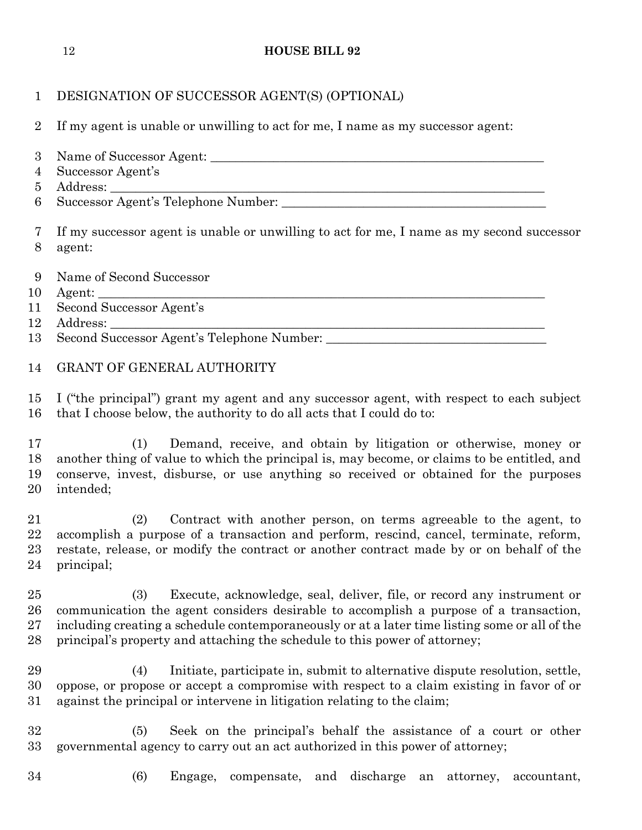| $\mathbf 1$                                | DESIGNATION OF SUCCESSOR AGENT(S) (OPTIONAL)                                                                                                                                                                                                                                                                                                          |
|--------------------------------------------|-------------------------------------------------------------------------------------------------------------------------------------------------------------------------------------------------------------------------------------------------------------------------------------------------------------------------------------------------------|
| $\overline{2}$                             | If my agent is unable or unwilling to act for me, I name as my successor agent:                                                                                                                                                                                                                                                                       |
| 3<br>$\overline{4}$<br>$\overline{5}$<br>6 | Successor Agent's                                                                                                                                                                                                                                                                                                                                     |
| 7<br>8                                     | If my successor agent is unable or unwilling to act for me, I name as my second successor<br>agent:                                                                                                                                                                                                                                                   |
| 9<br>10                                    | Name of Second Successor                                                                                                                                                                                                                                                                                                                              |
| 11                                         | Second Successor Agent's                                                                                                                                                                                                                                                                                                                              |
| 12<br>13                                   |                                                                                                                                                                                                                                                                                                                                                       |
|                                            |                                                                                                                                                                                                                                                                                                                                                       |
| 14                                         | GRANT OF GENERAL AUTHORITY                                                                                                                                                                                                                                                                                                                            |
| 15<br>16                                   | I ("the principal") grant my agent and any successor agent, with respect to each subject<br>that I choose below, the authority to do all acts that I could do to:                                                                                                                                                                                     |
| 17<br>18<br>19<br>20                       | Demand, receive, and obtain by litigation or otherwise, money or<br>(1)<br>another thing of value to which the principal is, may become, or claims to be entitled, and<br>conserve, invest, disburse, or use anything so received or obtained for the purposes<br>intended;                                                                           |
| 21<br>22<br>23<br>24                       | Contract with another person, on terms agreeable to the agent, to<br>(2)<br>accomplish a purpose of a transaction and perform, rescind, cancel, terminate, reform,<br>restate, release, or modify the contract or another contract made by or on behalf of the<br>principal;                                                                          |
| 25<br>26<br>27<br>28                       | Execute, acknowledge, seal, deliver, file, or record any instrument or<br>(3)<br>communication the agent considers desirable to accomplish a purpose of a transaction,<br>including creating a schedule contemporaneously or at a later time listing some or all of the<br>principal's property and attaching the schedule to this power of attorney; |
| 29<br>30<br>31                             | Initiate, participate in, submit to alternative dispute resolution, settle,<br>(4)<br>oppose, or propose or accept a compromise with respect to a claim existing in favor of or<br>against the principal or intervene in litigation relating to the claim;                                                                                            |
| 32<br>33                                   | Seek on the principal's behalf the assistance of a court or other<br>(5)<br>governmental agency to carry out an act authorized in this power of attorney;                                                                                                                                                                                             |

- 
- (6) Engage, compensate, and discharge an attorney, accountant,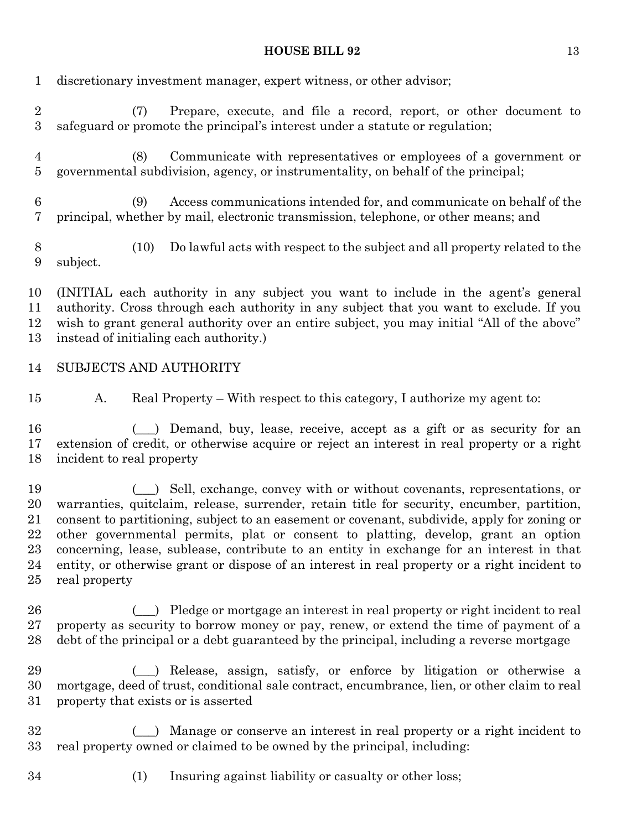discretionary investment manager, expert witness, or other advisor;

| $\sqrt{2}$<br>$\sqrt{3}$               | Prepare, execute, and file a record, report, or other document to<br>(7)<br>safeguard or promote the principal's interest under a statute or regulation;                                                                                                                                                                                                                                                                                                                                                                                                                        |
|----------------------------------------|---------------------------------------------------------------------------------------------------------------------------------------------------------------------------------------------------------------------------------------------------------------------------------------------------------------------------------------------------------------------------------------------------------------------------------------------------------------------------------------------------------------------------------------------------------------------------------|
| $\overline{4}$<br>$\overline{5}$       | Communicate with representatives or employees of a government or<br>(8)<br>governmental subdivision, agency, or instrumentality, on behalf of the principal;                                                                                                                                                                                                                                                                                                                                                                                                                    |
| $\,6\,$<br>$\overline{7}$              | Access communications intended for, and communicate on behalf of the<br>(9)<br>principal, whether by mail, electronic transmission, telephone, or other means; and                                                                                                                                                                                                                                                                                                                                                                                                              |
| $8\,$<br>$9\phantom{.}$                | Do lawful acts with respect to the subject and all property related to the<br>(10)<br>subject.                                                                                                                                                                                                                                                                                                                                                                                                                                                                                  |
| 10<br>11<br>12<br>13                   | (INITIAL each authority in any subject you want to include in the agent's general<br>authority. Cross through each authority in any subject that you want to exclude. If you<br>wish to grant general authority over an entire subject, you may initial "All of the above"<br>instead of initialing each authority.)                                                                                                                                                                                                                                                            |
| 14                                     | SUBJECTS AND AUTHORITY                                                                                                                                                                                                                                                                                                                                                                                                                                                                                                                                                          |
| 15                                     | Real Property – With respect to this category, I authorize my agent to:<br>A.                                                                                                                                                                                                                                                                                                                                                                                                                                                                                                   |
| 16<br>17<br>18                         | (_) Demand, buy, lease, receive, accept as a gift or as security for an<br>extension of credit, or otherwise acquire or reject an interest in real property or a right<br>incident to real property                                                                                                                                                                                                                                                                                                                                                                             |
| 19<br>20<br>21<br>22<br>23<br>24<br>25 | ( $\Box$ ) Sell, exchange, convey with or without covenants, representations, or<br>warranties, quitclaim, release, surrender, retain title for security, encumber, partition,<br>consent to partitioning, subject to an easement or covenant, subdivide, apply for zoning or<br>other governmental permits, plat or consent to platting, develop, grant an option<br>concerning, lease, sublease, contribute to an entity in exchange for an interest in that<br>entity, or otherwise grant or dispose of an interest in real property or a right incident to<br>real property |
| 26<br>27<br>28                         | (e) Pledge or mortgage an interest in real property or right incident to real<br>property as security to borrow money or pay, renew, or extend the time of payment of a<br>debt of the principal or a debt guaranteed by the principal, including a reverse mortgage                                                                                                                                                                                                                                                                                                            |
| 29<br>30<br>31                         | ( ) Release, assign, satisfy, or enforce by litigation or otherwise a<br>mortgage, deed of trust, conditional sale contract, encumbrance, lien, or other claim to real<br>property that exists or is asserted                                                                                                                                                                                                                                                                                                                                                                   |
| 32<br>33                               | Manage or conserve an interest in real property or a right incident to<br>real property owned or claimed to be owned by the principal, including:                                                                                                                                                                                                                                                                                                                                                                                                                               |
| 34                                     | (1)<br>Insuring against liability or casualty or other loss;                                                                                                                                                                                                                                                                                                                                                                                                                                                                                                                    |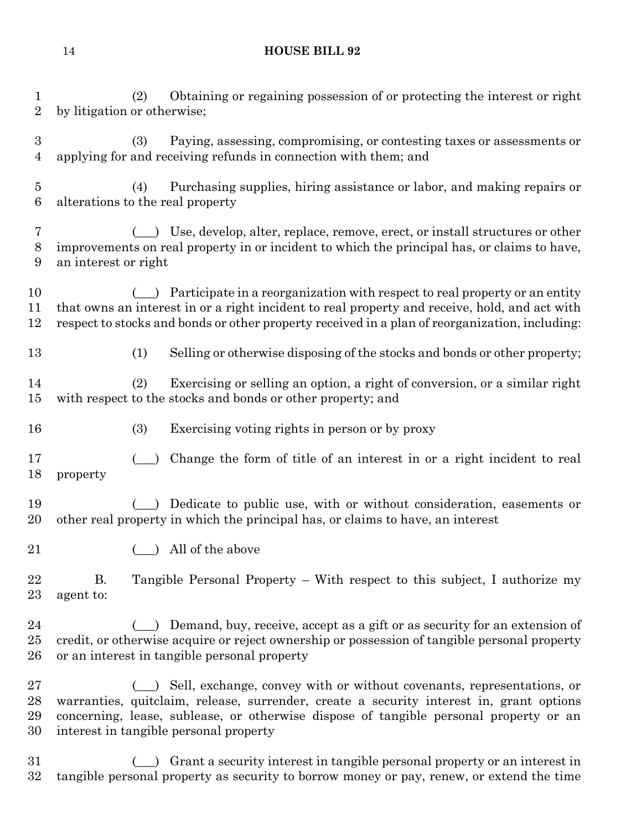(2) Obtaining or regaining possession of or protecting the interest or right by litigation or otherwise;

 (3) Paying, assessing, compromising, or contesting taxes or assessments or applying for and receiving refunds in connection with them; and

 (4) Purchasing supplies, hiring assistance or labor, and making repairs or alterations to the real property

 (\_\_\_) Use, develop, alter, replace, remove, erect, or install structures or other improvements on real property in or incident to which the principal has, or claims to have, an interest or right

10 (1) Participate in a reorganization with respect to real property or an entity that owns an interest in or a right incident to real property and receive, hold, and act with respect to stocks and bonds or other property received in a plan of reorganization, including:

(1) Selling or otherwise disposing of the stocks and bonds or other property;

 (2) Exercising or selling an option, a right of conversion, or a similar right with respect to the stocks and bonds or other property; and

- (3) Exercising voting rights in person or by proxy
- (\_\_\_) Change the form of title of an interest in or a right incident to real property
- (\_\_\_) Dedicate to public use, with or without consideration, easements or other real property in which the principal has, or claims to have, an interest
- 21 (a) All of the above

 B. Tangible Personal Property – With respect to this subject, I authorize my agent to:

24 (1) Demand, buy, receive, accept as a gift or as security for an extension of credit, or otherwise acquire or reject ownership or possession of tangible personal property or an interest in tangible personal property

 (\_\_\_) Sell, exchange, convey with or without covenants, representations, or warranties, quitclaim, release, surrender, create a security interest in, grant options concerning, lease, sublease, or otherwise dispose of tangible personal property or an interest in tangible personal property

 (\_\_\_) Grant a security interest in tangible personal property or an interest in tangible personal property as security to borrow money or pay, renew, or extend the time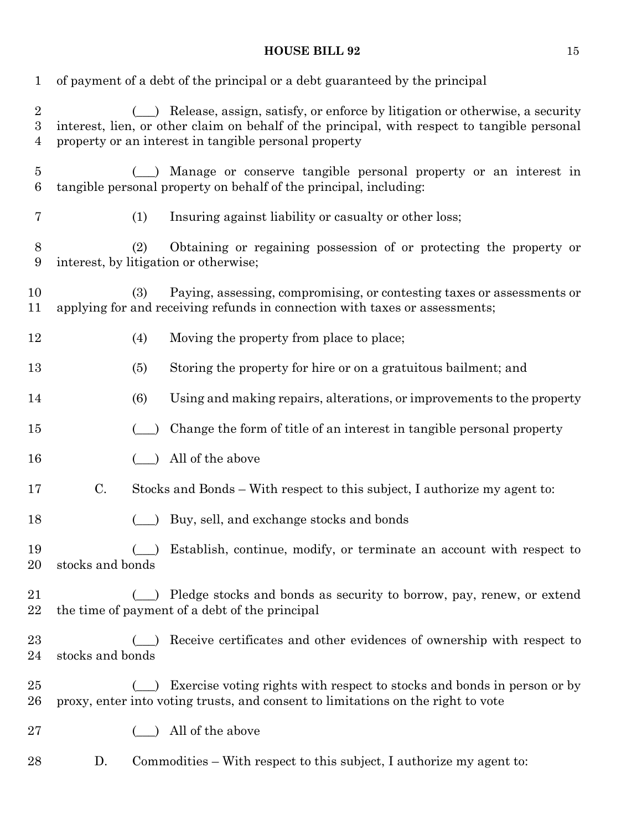| $\mathbf{1}$             |                                              | of payment of a debt of the principal or a debt guaranteed by the principal                                                                                                                                                              |
|--------------------------|----------------------------------------------|------------------------------------------------------------------------------------------------------------------------------------------------------------------------------------------------------------------------------------------|
| $\overline{2}$<br>3<br>4 |                                              | (_) Release, assign, satisfy, or enforce by litigation or otherwise, a security<br>interest, lien, or other claim on behalf of the principal, with respect to tangible personal<br>property or an interest in tangible personal property |
| $\overline{5}$<br>$\,6$  |                                              | Manage or conserve tangible personal property or an interest in<br>tangible personal property on behalf of the principal, including:                                                                                                     |
| 7                        | (1)                                          | Insuring against liability or casualty or other loss;                                                                                                                                                                                    |
| 8<br>$9\phantom{.0}$     | (2)<br>interest, by litigation or otherwise; | Obtaining or regaining possession of or protecting the property or                                                                                                                                                                       |
| 10<br>11                 | (3)                                          | Paying, assessing, compromising, or contesting taxes or assessments or<br>applying for and receiving refunds in connection with taxes or assessments;                                                                                    |
| 12                       | (4)                                          | Moving the property from place to place;                                                                                                                                                                                                 |
| 13                       | (5)                                          | Storing the property for hire or on a gratuitous bailment; and                                                                                                                                                                           |
| 14                       | (6)                                          | Using and making repairs, alterations, or improvements to the property                                                                                                                                                                   |
| $15\,$                   |                                              | Change the form of title of an interest in tangible personal property                                                                                                                                                                    |
| 16                       |                                              | All of the above                                                                                                                                                                                                                         |
| 17                       | C.                                           | Stocks and Bonds – With respect to this subject, I authorize my agent to:                                                                                                                                                                |
| 18                       |                                              | Buy, sell, and exchange stocks and bonds                                                                                                                                                                                                 |
| 19<br>20                 | stocks and bonds                             | Establish, continue, modify, or terminate an account with respect to                                                                                                                                                                     |
| 21<br>22                 |                                              | Pledge stocks and bonds as security to borrow, pay, renew, or extend<br>the time of payment of a debt of the principal                                                                                                                   |
| $^{23}$<br>24            | stocks and bonds                             | Receive certificates and other evidences of ownership with respect to                                                                                                                                                                    |
| 25<br>$26\,$             |                                              | Exercise voting rights with respect to stocks and bonds in person or by<br>proxy, enter into voting trusts, and consent to limitations on the right to vote                                                                              |
| $27\,$                   |                                              | All of the above                                                                                                                                                                                                                         |
| 28                       | D.                                           | Commodities – With respect to this subject, I authorize my agent to:                                                                                                                                                                     |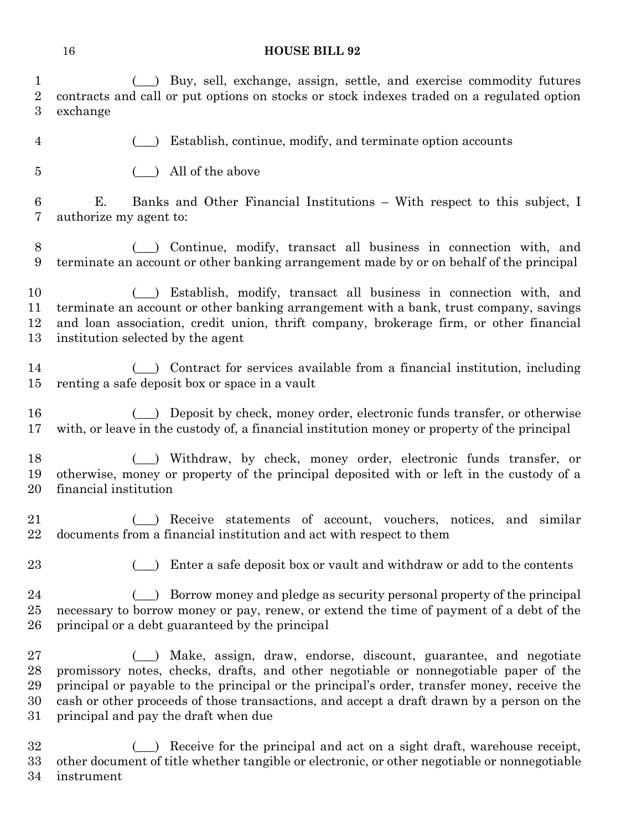| 1                | (_) Buy, sell, exchange, assign, settle, and exercise commodity futures                                                                                                                  |
|------------------|------------------------------------------------------------------------------------------------------------------------------------------------------------------------------------------|
| $\overline{2}$   | contracts and call or put options on stocks or stock indexes traded on a regulated option                                                                                                |
| $\boldsymbol{3}$ | exchange                                                                                                                                                                                 |
| $\overline{4}$   | Establish, continue, modify, and terminate option accounts                                                                                                                               |
| $\overline{5}$   | All of the above                                                                                                                                                                         |
| 6<br>7           | Banks and Other Financial Institutions – With respect to this subject, I<br>Е.<br>authorize my agent to:                                                                                 |
| 8                | (_) Continue, modify, transact all business in connection with, and                                                                                                                      |
| 9                | terminate an account or other banking arrangement made by or on behalf of the principal                                                                                                  |
| 10               | Establish, modify, transact all business in connection with, and                                                                                                                         |
| 11               | terminate an account or other banking arrangement with a bank, trust company, savings                                                                                                    |
| 12               | and loan association, credit union, thrift company, brokerage firm, or other financial                                                                                                   |
| 13               | institution selected by the agent                                                                                                                                                        |
| 14               | ) Contract for services available from a financial institution, including                                                                                                                |
| 15               | renting a safe deposit box or space in a vault                                                                                                                                           |
| 16               | Deposit by check, money order, electronic funds transfer, or otherwise                                                                                                                   |
| 17               | with, or leave in the custody of, a financial institution money or property of the principal                                                                                             |
| 18<br>19<br>20   | Withdraw, by check, money order, electronic funds transfer, or<br>(<br>otherwise, money or property of the principal deposited with or left in the custody of a<br>financial institution |
| 21               | Receive statements of account, vouchers, notices, and similar                                                                                                                            |
| 22               | documents from a financial institution and act with respect to them                                                                                                                      |
| 23               | Enter a safe deposit box or vault and withdraw or add to the contents                                                                                                                    |
| 24               | Borrow money and pledge as security personal property of the principal                                                                                                                   |
| 25               | necessary to borrow money or pay, renew, or extend the time of payment of a debt of the                                                                                                  |
| 26               | principal or a debt guaranteed by the principal                                                                                                                                          |
| $27\,$           | (_) Make, assign, draw, endorse, discount, guarantee, and negotiate                                                                                                                      |
| 28               | promissory notes, checks, drafts, and other negotiable or nonnegotiable paper of the                                                                                                     |
| 29               | principal or payable to the principal or the principal's order, transfer money, receive the                                                                                              |
| 30               | cash or other proceeds of those transactions, and accept a draft drawn by a person on the                                                                                                |
| $31\,$           | principal and pay the draft when due                                                                                                                                                     |
| $32\,$           | Receive for the principal and act on a sight draft, warehouse receipt,                                                                                                                   |

 other document of title whether tangible or electronic, or other negotiable or nonnegotiable instrument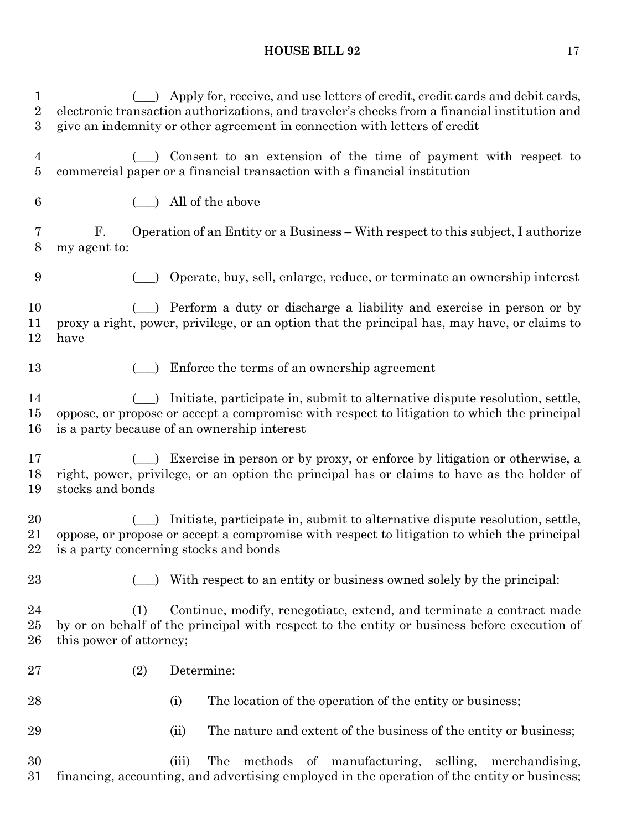1 (except) Apply for, receive, and use letters of credit, credit cards and debit cards, electronic transaction authorizations, and traveler's checks from a financial institution and give an indemnity or other agreement in connection with letters of credit (\_\_\_) Consent to an extension of the time of payment with respect to commercial paper or a financial transaction with a financial institution (\_\_\_) All of the above F. Operation of an Entity or a Business – With respect to this subject, I authorize my agent to: (\_\_\_) Operate, buy, sell, enlarge, reduce, or terminate an ownership interest 10 (a) Perform a duty or discharge a liability and exercise in person or by proxy a right, power, privilege, or an option that the principal has, may have, or claims to have 13 (1) Enforce the terms of an ownership agreement (\_\_\_) Initiate, participate in, submit to alternative dispute resolution, settle, oppose, or propose or accept a compromise with respect to litigation to which the principal is a party because of an ownership interest (\_\_\_) Exercise in person or by proxy, or enforce by litigation or otherwise, a right, power, privilege, or an option the principal has or claims to have as the holder of stocks and bonds (\_\_\_) Initiate, participate in, submit to alternative dispute resolution, settle, oppose, or propose or accept a compromise with respect to litigation to which the principal is a party concerning stocks and bonds 23 (c) With respect to an entity or business owned solely by the principal: (1) Continue, modify, renegotiate, extend, and terminate a contract made by or on behalf of the principal with respect to the entity or business before execution of this power of attorney; (2) Determine: 28 (i) The location of the operation of the entity or business; (ii) The nature and extent of the business of the entity or business; (iii) The methods of manufacturing, selling, merchandising, financing, accounting, and advertising employed in the operation of the entity or business;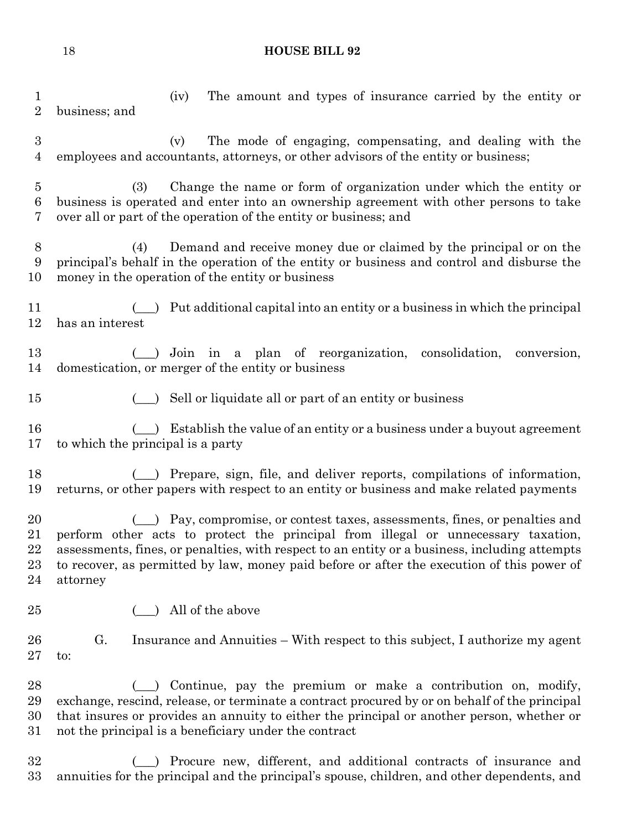(iv) The amount and types of insurance carried by the entity or business; and (v) The mode of engaging, compensating, and dealing with the employees and accountants, attorneys, or other advisors of the entity or business; (3) Change the name or form of organization under which the entity or business is operated and enter into an ownership agreement with other persons to take over all or part of the operation of the entity or business; and (4) Demand and receive money due or claimed by the principal or on the principal's behalf in the operation of the entity or business and control and disburse the money in the operation of the entity or business 11 (1) Put additional capital into an entity or a business in which the principal has an interest (\_\_\_) Join in a plan of reorganization, consolidation, conversion, domestication, or merger of the entity or business 15 (extending to 15 minutes) Sell or liquidate all or part of an entity or business 16 (external labels of an entity or a business under a buyout agreement to which the principal is a party (\_\_\_) Prepare, sign, file, and deliver reports, compilations of information, returns, or other papers with respect to an entity or business and make related payments (\_\_\_) Pay, compromise, or contest taxes, assessments, fines, or penalties and perform other acts to protect the principal from illegal or unnecessary taxation, assessments, fines, or penalties, with respect to an entity or a business, including attempts to recover, as permitted by law, money paid before or after the execution of this power of attorney 25 (25) All of the above G. Insurance and Annuities – With respect to this subject, I authorize my agent to: (\_\_\_) Continue, pay the premium or make a contribution on, modify, exchange, rescind, release, or terminate a contract procured by or on behalf of the principal that insures or provides an annuity to either the principal or another person, whether or not the principal is a beneficiary under the contract 32 (a) Procure new, different, and additional contracts of insurance and annuities for the principal and the principal's spouse, children, and other dependents, and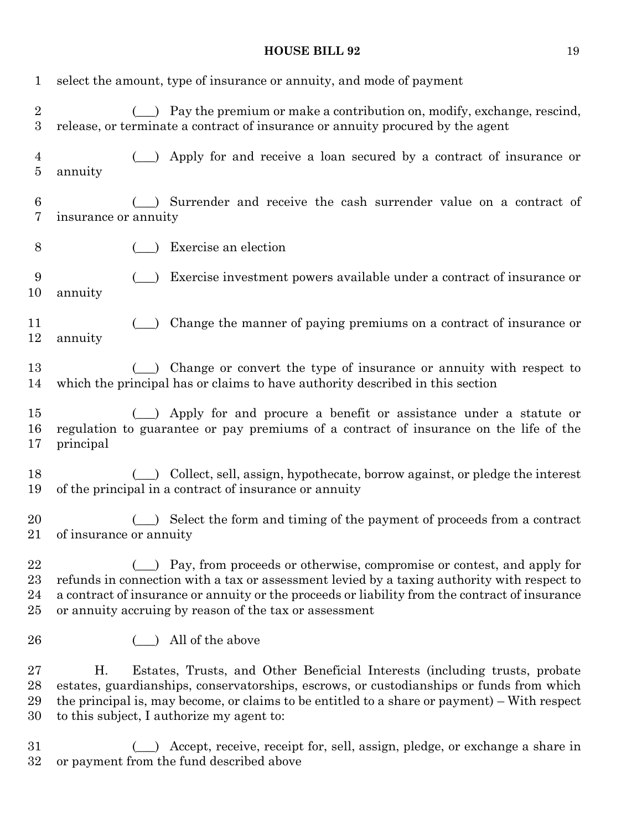| $\mathbf{1}$                       | select the amount, type of insurance or annuity, and mode of payment                                                                                                                                                                                                                                                      |
|------------------------------------|---------------------------------------------------------------------------------------------------------------------------------------------------------------------------------------------------------------------------------------------------------------------------------------------------------------------------|
| $\overline{2}$<br>$\boldsymbol{3}$ | Pay the premium or make a contribution on, modify, exchange, rescind,<br>(<br>release, or terminate a contract of insurance or annuity procured by the agent                                                                                                                                                              |
| $\overline{4}$                     | Apply for and receive a loan secured by a contract of insurance or                                                                                                                                                                                                                                                        |
| $\overline{5}$                     | annuity                                                                                                                                                                                                                                                                                                                   |
| 6                                  | Surrender and receive the cash surrender value on a contract of                                                                                                                                                                                                                                                           |
| 7                                  | insurance or annuity                                                                                                                                                                                                                                                                                                      |
| 8                                  | Exercise an election                                                                                                                                                                                                                                                                                                      |
| 9                                  | Exercise investment powers available under a contract of insurance or                                                                                                                                                                                                                                                     |
| 10                                 | annuity                                                                                                                                                                                                                                                                                                                   |
| 11                                 | Change the manner of paying premiums on a contract of insurance or                                                                                                                                                                                                                                                        |
| 12                                 | annuity                                                                                                                                                                                                                                                                                                                   |
| 13                                 | Change or convert the type of insurance or annuity with respect to                                                                                                                                                                                                                                                        |
| 14                                 | which the principal has or claims to have authority described in this section                                                                                                                                                                                                                                             |
| 15                                 | ( ) Apply for and procure a benefit or assistance under a statute or                                                                                                                                                                                                                                                      |
| 16                                 | regulation to guarantee or pay premiums of a contract of insurance on the life of the                                                                                                                                                                                                                                     |
| 17                                 | principal                                                                                                                                                                                                                                                                                                                 |
| 18                                 | Collect, sell, assign, hypothecate, borrow against, or pledge the interest                                                                                                                                                                                                                                                |
| 19                                 | of the principal in a contract of insurance or annuity                                                                                                                                                                                                                                                                    |
| 20                                 | Select the form and timing of the payment of proceeds from a contract                                                                                                                                                                                                                                                     |
| 21                                 | of insurance or annuity                                                                                                                                                                                                                                                                                                   |
| 22                                 | Pay, from proceeds or otherwise, compromise or contest, and apply for                                                                                                                                                                                                                                                     |
| $^{23}$                            | refunds in connection with a tax or assessment levied by a taxing authority with respect to                                                                                                                                                                                                                               |
| 24                                 | a contract of insurance or annuity or the proceeds or liability from the contract of insurance                                                                                                                                                                                                                            |
| 25                                 | or annuity accruing by reason of the tax or assessment                                                                                                                                                                                                                                                                    |
| 26                                 | All of the above                                                                                                                                                                                                                                                                                                          |
| $27\,$<br>28<br>29<br>30           | Estates, Trusts, and Other Beneficial Interests (including trusts, probate<br>Η.<br>estates, guardianships, conservatorships, escrows, or custodianships or funds from which<br>the principal is, may become, or claims to be entitled to a share or payment) – With respect<br>to this subject, I authorize my agent to: |
| 31                                 | Accept, receive, receipt for, sell, assign, pledge, or exchange a share in                                                                                                                                                                                                                                                |
| 32                                 | or payment from the fund described above                                                                                                                                                                                                                                                                                  |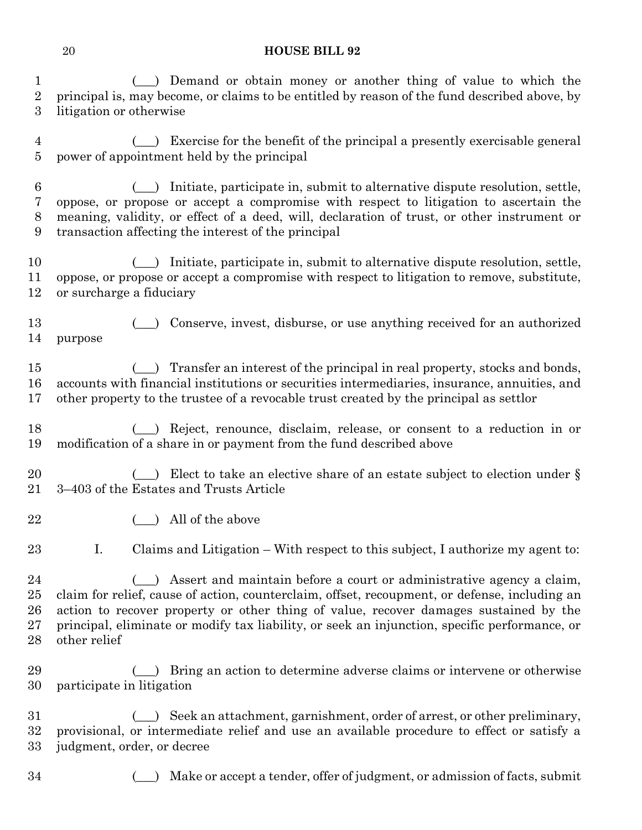1 (1) Demand or obtain money or another thing of value to which the principal is, may become, or claims to be entitled by reason of the fund described above, by litigation or otherwise

 (\_\_\_) Exercise for the benefit of the principal a presently exercisable general power of appointment held by the principal

 (\_\_\_) Initiate, participate in, submit to alternative dispute resolution, settle, oppose, or propose or accept a compromise with respect to litigation to ascertain the meaning, validity, or effect of a deed, will, declaration of trust, or other instrument or transaction affecting the interest of the principal

 (\_\_\_) Initiate, participate in, submit to alternative dispute resolution, settle, oppose, or propose or accept a compromise with respect to litigation to remove, substitute, or surcharge a fiduciary

 (\_\_\_) Conserve, invest, disburse, or use anything received for an authorized purpose

15 (1) Transfer an interest of the principal in real property, stocks and bonds, accounts with financial institutions or securities intermediaries, insurance, annuities, and other property to the trustee of a revocable trust created by the principal as settlor

 (\_\_\_) Reject, renounce, disclaim, release, or consent to a reduction in or modification of a share in or payment from the fund described above

20 (20 Elect to take an elective share of an estate subject to election under § 3–403 of the Estates and Trusts Article

22 (contract ) All of the above

I. Claims and Litigation – With respect to this subject, I authorize my agent to:

24 (c) Assert and maintain before a court or administrative agency a claim, claim for relief, cause of action, counterclaim, offset, recoupment, or defense, including an action to recover property or other thing of value, recover damages sustained by the principal, eliminate or modify tax liability, or seek an injunction, specific performance, or other relief

29 (1) Bring an action to determine adverse claims or intervene or otherwise participate in litigation

 (\_\_\_) Seek an attachment, garnishment, order of arrest, or other preliminary, provisional, or intermediate relief and use an available procedure to effect or satisfy a judgment, order, or decree

(\_\_\_) Make or accept a tender, offer of judgment, or admission of facts, submit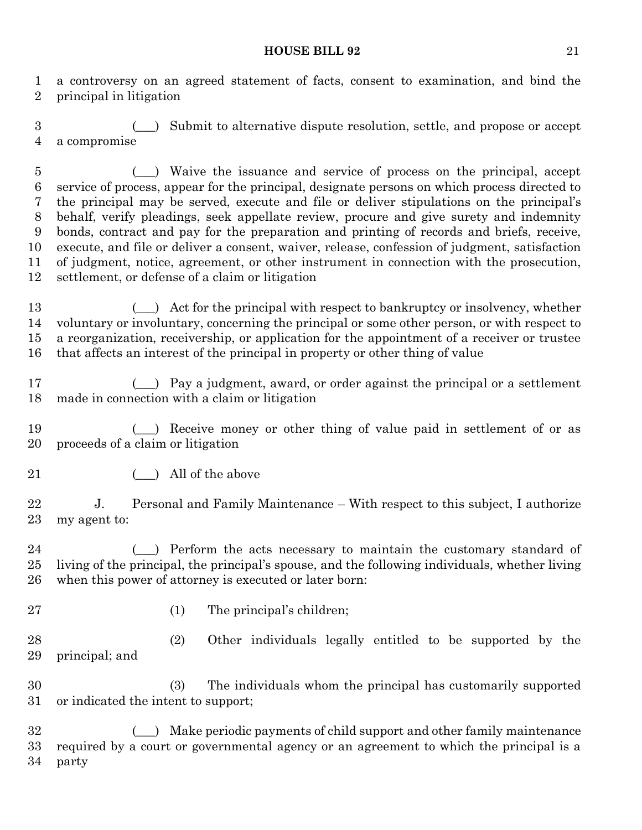a controversy on an agreed statement of facts, consent to examination, and bind the principal in litigation

 (\_\_\_) Submit to alternative dispute resolution, settle, and propose or accept a compromise

 (\_\_\_) Waive the issuance and service of process on the principal, accept service of process, appear for the principal, designate persons on which process directed to the principal may be served, execute and file or deliver stipulations on the principal's behalf, verify pleadings, seek appellate review, procure and give surety and indemnity bonds, contract and pay for the preparation and printing of records and briefs, receive, execute, and file or deliver a consent, waiver, release, confession of judgment, satisfaction of judgment, notice, agreement, or other instrument in connection with the prosecution, settlement, or defense of a claim or litigation

13 (a) Act for the principal with respect to bankruptcy or insolvency, whether voluntary or involuntary, concerning the principal or some other person, or with respect to a reorganization, receivership, or application for the appointment of a receiver or trustee that affects an interest of the principal in property or other thing of value

 (\_\_\_) Pay a judgment, award, or order against the principal or a settlement made in connection with a claim or litigation

19 (1) Receive money or other thing of value paid in settlement of or as proceeds of a claim or litigation

21 (a) All of the above

22 J. Personal and Family Maintenance – With respect to this subject, I authorize my agent to:

24 (external perform the acts necessary to maintain the customary standard of living of the principal, the principal's spouse, and the following individuals, whether living when this power of attorney is executed or later born:

- 
- 27 (1) The principal's children;

 (2) Other individuals legally entitled to be supported by the principal; and

 (3) The individuals whom the principal has customarily supported or indicated the intent to support;

 (\_\_\_) Make periodic payments of child support and other family maintenance required by a court or governmental agency or an agreement to which the principal is a party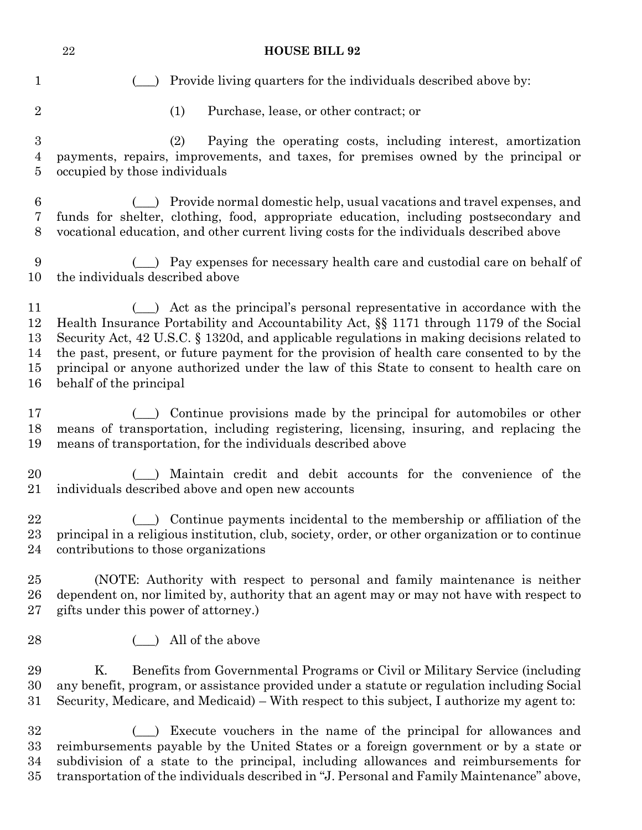|                                         | $\bf 22$<br><b>HOUSE BILL 92</b>                                                                                                                                                                                                                                               |
|-----------------------------------------|--------------------------------------------------------------------------------------------------------------------------------------------------------------------------------------------------------------------------------------------------------------------------------|
| $\mathbf{1}$                            | Provide living quarters for the individuals described above by:                                                                                                                                                                                                                |
| $\overline{2}$                          | (1)<br>Purchase, lease, or other contract; or                                                                                                                                                                                                                                  |
| $\boldsymbol{3}$<br>$\overline{4}$<br>5 | (2)<br>Paying the operating costs, including interest, amortization<br>payments, repairs, improvements, and taxes, for premises owned by the principal or<br>occupied by those individuals                                                                                     |
| 6                                       | (e) Provide normal domestic help, usual vacations and travel expenses, and                                                                                                                                                                                                     |
| 7                                       | funds for shelter, clothing, food, appropriate education, including postsecondary and                                                                                                                                                                                          |
| 8                                       | vocational education, and other current living costs for the individuals described above                                                                                                                                                                                       |
| 9                                       | (_) Pay expenses for necessary health care and custodial care on behalf of                                                                                                                                                                                                     |
| 10                                      | the individuals described above                                                                                                                                                                                                                                                |
| 11                                      | ( ) Act as the principal's personal representative in accordance with the                                                                                                                                                                                                      |
| 12                                      | Health Insurance Portability and Accountability Act, §§ 1171 through 1179 of the Social                                                                                                                                                                                        |
| 13                                      | Security Act, 42 U.S.C. § 1320d, and applicable regulations in making decisions related to                                                                                                                                                                                     |
| 14                                      | the past, present, or future payment for the provision of health care consented to by the                                                                                                                                                                                      |
| 15                                      | principal or anyone authorized under the law of this State to consent to health care on                                                                                                                                                                                        |
| 16                                      | behalf of the principal                                                                                                                                                                                                                                                        |
| 17                                      | ( ) Continue provisions made by the principal for automobiles or other                                                                                                                                                                                                         |
| 18                                      | means of transportation, including registering, licensing, insuring, and replacing the                                                                                                                                                                                         |
| 19                                      | means of transportation, for the individuals described above                                                                                                                                                                                                                   |
| 20                                      | () Maintain credit and debit accounts for the convenience of the                                                                                                                                                                                                               |
| 21                                      | individuals described above and open new accounts                                                                                                                                                                                                                              |
| 22                                      | Continue payments incidental to the membership or affiliation of the                                                                                                                                                                                                           |
| $^{23}$                                 | principal in a religious institution, club, society, order, or other organization or to continue                                                                                                                                                                               |
| 24                                      | contributions to those organizations                                                                                                                                                                                                                                           |
| 25                                      | (NOTE: Authority with respect to personal and family maintenance is neither                                                                                                                                                                                                    |
| 26                                      | dependent on, nor limited by, authority that an agent may or may not have with respect to                                                                                                                                                                                      |
| $27\,$                                  | gifts under this power of attorney.)                                                                                                                                                                                                                                           |
| 28                                      | All of the above                                                                                                                                                                                                                                                               |
| 29<br>30<br>$31\,$                      | Κ.<br>Benefits from Governmental Programs or Civil or Military Service (including<br>any benefit, program, or assistance provided under a statute or regulation including Social<br>Security, Medicare, and Medicaid) – With respect to this subject, I authorize my agent to: |
| 32                                      | Execute vouchers in the name of the principal for allowances and                                                                                                                                                                                                               |
| 33                                      | reimbursements payable by the United States or a foreign government or by a state or                                                                                                                                                                                           |
| 34                                      | subdivision of a state to the principal, including allowances and reimbursements for                                                                                                                                                                                           |

transportation of the individuals described in "J. Personal and Family Maintenance" above,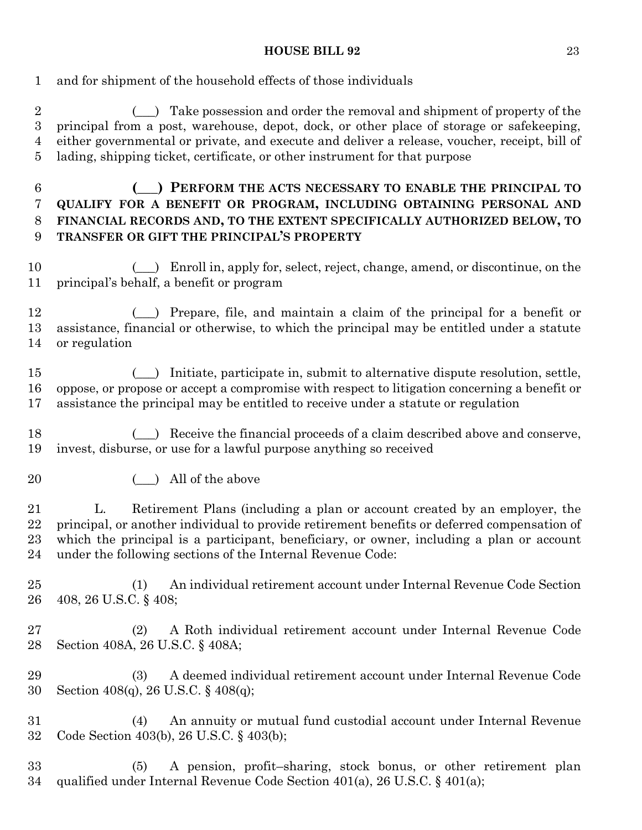and for shipment of the household effects of those individuals

2 (2) Take possession and order the removal and shipment of property of the principal from a post, warehouse, depot, dock, or other place of storage or safekeeping, either governmental or private, and execute and deliver a release, voucher, receipt, bill of lading, shipping ticket, certificate, or other instrument for that purpose

- **(\_\_\_) PERFORM THE ACTS NECESSARY TO ENABLE THE PRINCIPAL TO QUALIFY FOR A BENEFIT OR PROGRAM, INCLUDING OBTAINING PERSONAL AND FINANCIAL RECORDS AND, TO THE EXTENT SPECIFICALLY AUTHORIZED BELOW, TO TRANSFER OR GIFT THE PRINCIPAL'S PROPERTY**
- 10 (e) Enroll in, apply for, select, reject, change, amend, or discontinue, on the principal's behalf, a benefit or program

 (\_\_\_) Prepare, file, and maintain a claim of the principal for a benefit or assistance, financial or otherwise, to which the principal may be entitled under a statute or regulation

 (\_\_\_) Initiate, participate in, submit to alternative dispute resolution, settle, oppose, or propose or accept a compromise with respect to litigation concerning a benefit or assistance the principal may be entitled to receive under a statute or regulation

18 (a) Receive the financial proceeds of a claim described above and conserve, invest, disburse, or use for a lawful purpose anything so received

20 ( ) All of the above

 L. Retirement Plans (including a plan or account created by an employer, the principal, or another individual to provide retirement benefits or deferred compensation of which the principal is a participant, beneficiary, or owner, including a plan or account under the following sections of the Internal Revenue Code:

 (1) An individual retirement account under Internal Revenue Code Section 408, 26 U.S.C. § 408;

 (2) A Roth individual retirement account under Internal Revenue Code Section 408A, 26 U.S.C. § 408A;

 (3) A deemed individual retirement account under Internal Revenue Code Section 408(q), 26 U.S.C. § 408(q);

 (4) An annuity or mutual fund custodial account under Internal Revenue Code Section 403(b), 26 U.S.C. § 403(b);

 (5) A pension, profit–sharing, stock bonus, or other retirement plan qualified under Internal Revenue Code Section 401(a), 26 U.S.C. § 401(a);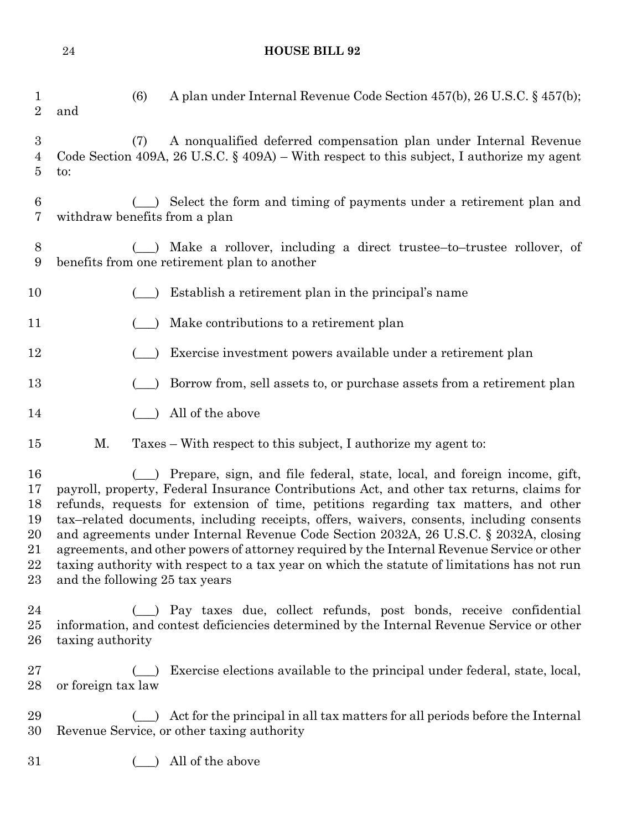| $\mathbf 1$<br>$\overline{2}$                     | and                            | (6) | A plan under Internal Revenue Code Section 457(b), 26 U.S.C. § 457(b);                                                                                                                                                                                                                                                                                                                                                                                                                                                                                                                                                                        |
|---------------------------------------------------|--------------------------------|-----|-----------------------------------------------------------------------------------------------------------------------------------------------------------------------------------------------------------------------------------------------------------------------------------------------------------------------------------------------------------------------------------------------------------------------------------------------------------------------------------------------------------------------------------------------------------------------------------------------------------------------------------------------|
| $\boldsymbol{3}$<br>4<br>5                        | to:                            | (7) | A nonqualified deferred compensation plan under Internal Revenue<br>Code Section 409A, 26 U.S.C. $\S$ 409A) – With respect to this subject, I authorize my agent                                                                                                                                                                                                                                                                                                                                                                                                                                                                              |
| 6<br>7                                            | withdraw benefits from a plan  |     | Select the form and timing of payments under a retirement plan and                                                                                                                                                                                                                                                                                                                                                                                                                                                                                                                                                                            |
| 8<br>9                                            |                                |     | Make a rollover, including a direct trustee-to-trustee rollover, of<br>benefits from one retirement plan to another                                                                                                                                                                                                                                                                                                                                                                                                                                                                                                                           |
| 10                                                |                                |     | Establish a retirement plan in the principal's name                                                                                                                                                                                                                                                                                                                                                                                                                                                                                                                                                                                           |
| 11                                                |                                |     | Make contributions to a retirement plan                                                                                                                                                                                                                                                                                                                                                                                                                                                                                                                                                                                                       |
| 12                                                |                                |     | Exercise investment powers available under a retirement plan                                                                                                                                                                                                                                                                                                                                                                                                                                                                                                                                                                                  |
| 13                                                |                                |     | Borrow from, sell assets to, or purchase assets from a retirement plan                                                                                                                                                                                                                                                                                                                                                                                                                                                                                                                                                                        |
| 14                                                |                                |     | All of the above                                                                                                                                                                                                                                                                                                                                                                                                                                                                                                                                                                                                                              |
| $15\,$                                            | Μ.                             |     | Taxes – With respect to this subject, I authorize my agent to:                                                                                                                                                                                                                                                                                                                                                                                                                                                                                                                                                                                |
| 16<br>17<br>18<br>19<br>20<br>$^{21}$<br>22<br>23 | and the following 25 tax years |     | Prepare, sign, and file federal, state, local, and foreign income, gift,<br>payroll, property, Federal Insurance Contributions Act, and other tax returns, claims for<br>refunds, requests for extension of time, petitions regarding tax matters, and other<br>tax-related documents, including receipts, offers, waivers, consents, including consents<br>and agreements under Internal Revenue Code Section 2032A, 26 U.S.C. § 2032A, closing<br>agreements, and other powers of attorney required by the Internal Revenue Service or other<br>taxing authority with respect to a tax year on which the statute of limitations has not run |
| 24<br>$25\,$<br>$26\,$                            | taxing authority               |     | (_) Pay taxes due, collect refunds, post bonds, receive confidential<br>information, and contest deficiencies determined by the Internal Revenue Service or other                                                                                                                                                                                                                                                                                                                                                                                                                                                                             |
| $27\,$<br>28                                      | or foreign tax law             |     | Exercise elections available to the principal under federal, state, local,                                                                                                                                                                                                                                                                                                                                                                                                                                                                                                                                                                    |
| 29<br>30                                          |                                |     | Act for the principal in all tax matters for all periods before the Internal<br>Revenue Service, or other taxing authority                                                                                                                                                                                                                                                                                                                                                                                                                                                                                                                    |
| $31\,$                                            |                                |     | All of the above                                                                                                                                                                                                                                                                                                                                                                                                                                                                                                                                                                                                                              |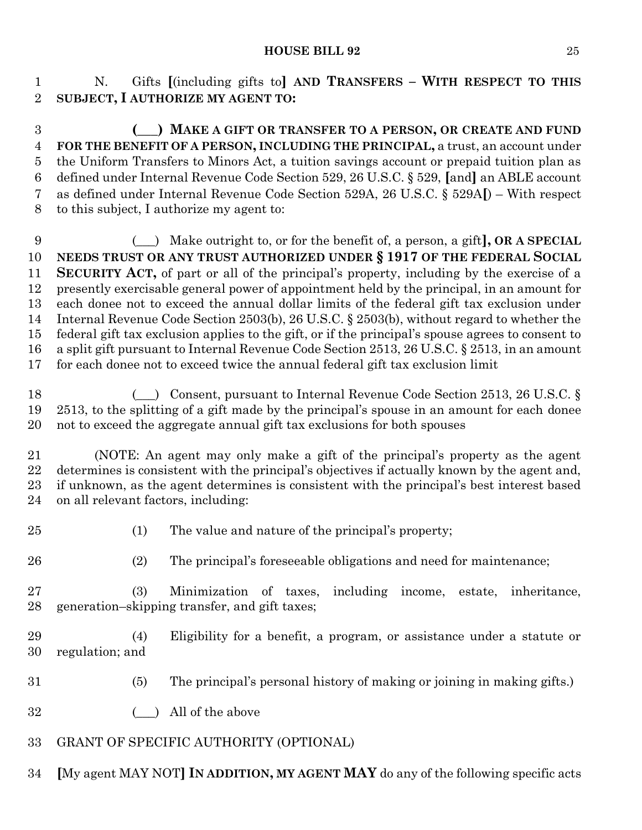N. Gifts **[**(including gifts to**] AND TRANSFERS – WITH RESPECT TO THIS SUBJECT, I AUTHORIZE MY AGENT TO:**

 **(\_\_\_) MAKE A GIFT OR TRANSFER TO A PERSON, OR CREATE AND FUND FOR THE BENEFIT OF A PERSON, INCLUDING THE PRINCIPAL,** a trust, an account under the Uniform Transfers to Minors Act, a tuition savings account or prepaid tuition plan as defined under Internal Revenue Code Section 529, 26 U.S.C. § 529, **[**and**]** an ABLE account as defined under Internal Revenue Code Section 529A, 26 U.S.C. § 529A**[**) – With respect to this subject, I authorize my agent to:

 (\_\_\_) Make outright to, or for the benefit of, a person, a gift**], OR A SPECIAL NEEDS TRUST OR ANY TRUST AUTHORIZED UNDER § 1917 OF THE FEDERAL SOCIAL SECURITY ACT,** of part or all of the principal's property, including by the exercise of a presently exercisable general power of appointment held by the principal, in an amount for each donee not to exceed the annual dollar limits of the federal gift tax exclusion under Internal Revenue Code Section 2503(b), 26 U.S.C. § 2503(b), without regard to whether the federal gift tax exclusion applies to the gift, or if the principal's spouse agrees to consent to a split gift pursuant to Internal Revenue Code Section 2513, 26 U.S.C. § 2513, in an amount for each donee not to exceed twice the annual federal gift tax exclusion limit

18 (c) Consent, pursuant to Internal Revenue Code Section 2513, 26 U.S.C. § 2513, to the splitting of a gift made by the principal's spouse in an amount for each donee not to exceed the aggregate annual gift tax exclusions for both spouses

 (NOTE: An agent may only make a gift of the principal's property as the agent determines is consistent with the principal's objectives if actually known by the agent and, if unknown, as the agent determines is consistent with the principal's best interest based on all relevant factors, including:

(1) The value and nature of the principal's property;

(2) The principal's foreseeable obligations and need for maintenance;

 (3) Minimization of taxes, including income, estate, inheritance, generation–skipping transfer, and gift taxes;

 (4) Eligibility for a benefit, a program, or assistance under a statute or regulation; and

- (5) The principal's personal history of making or joining in making gifts.)
- 32 (a) All of the above
- GRANT OF SPECIFIC AUTHORITY (OPTIONAL)
- **[**My agent MAY NOT**] IN ADDITION, MY AGENT MAY** do any of the following specific acts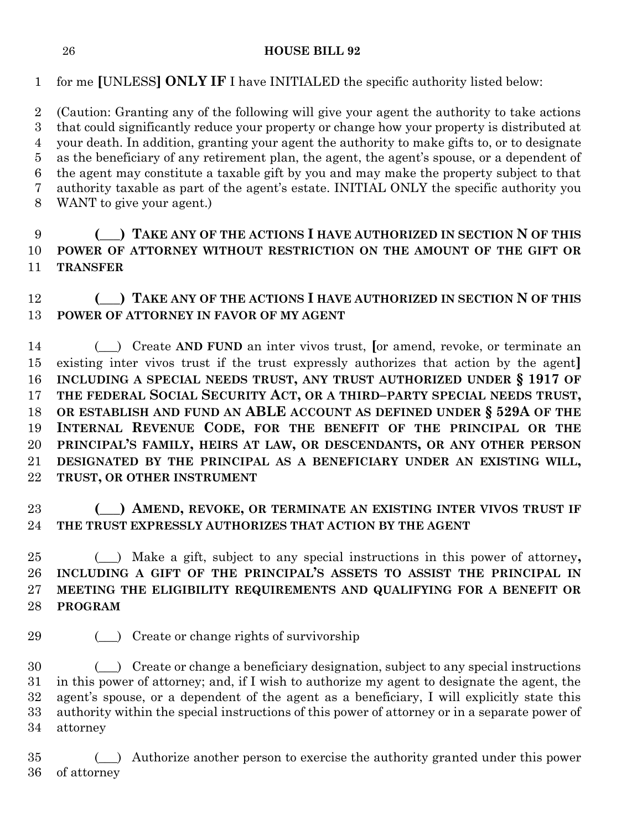for me **[**UNLESS**] ONLY IF** I have INITIALED the specific authority listed below:

 (Caution: Granting any of the following will give your agent the authority to take actions that could significantly reduce your property or change how your property is distributed at your death. In addition, granting your agent the authority to make gifts to, or to designate as the beneficiary of any retirement plan, the agent, the agent's spouse, or a dependent of the agent may constitute a taxable gift by you and may make the property subject to that authority taxable as part of the agent's estate. INITIAL ONLY the specific authority you WANT to give your agent.)

## **(\_\_\_) TAKE ANY OF THE ACTIONS I HAVE AUTHORIZED IN SECTION N OF THIS POWER OF ATTORNEY WITHOUT RESTRICTION ON THE AMOUNT OF THE GIFT OR TRANSFER**

## **(\_\_\_) TAKE ANY OF THE ACTIONS I HAVE AUTHORIZED IN SECTION N OF THIS POWER OF ATTORNEY IN FAVOR OF MY AGENT**

 (\_\_\_) Create **AND FUND** an inter vivos trust, **[**or amend, revoke, or terminate an existing inter vivos trust if the trust expressly authorizes that action by the agent**] INCLUDING A SPECIAL NEEDS TRUST, ANY TRUST AUTHORIZED UNDER § 1917 OF THE FEDERAL SOCIAL SECURITY ACT, OR A THIRD–PARTY SPECIAL NEEDS TRUST, OR ESTABLISH AND FUND AN ABLE ACCOUNT AS DEFINED UNDER § 529A OF THE INTERNAL REVENUE CODE, FOR THE BENEFIT OF THE PRINCIPAL OR THE PRINCIPAL'S FAMILY, HEIRS AT LAW, OR DESCENDANTS, OR ANY OTHER PERSON DESIGNATED BY THE PRINCIPAL AS A BENEFICIARY UNDER AN EXISTING WILL, TRUST, OR OTHER INSTRUMENT**

## **(\_\_\_) AMEND, REVOKE, OR TERMINATE AN EXISTING INTER VIVOS TRUST IF THE TRUST EXPRESSLY AUTHORIZES THAT ACTION BY THE AGENT**

 (\_\_\_) Make a gift, subject to any special instructions in this power of attorney**, INCLUDING A GIFT OF THE PRINCIPAL'S ASSETS TO ASSIST THE PRINCIPAL IN MEETING THE ELIGIBILITY REQUIREMENTS AND QUALIFYING FOR A BENEFIT OR PROGRAM**

(\_\_\_) Create or change rights of survivorship

 (\_\_\_) Create or change a beneficiary designation, subject to any special instructions in this power of attorney; and, if I wish to authorize my agent to designate the agent, the agent's spouse, or a dependent of the agent as a beneficiary, I will explicitly state this authority within the special instructions of this power of attorney or in a separate power of attorney

 (\_\_\_) Authorize another person to exercise the authority granted under this power of attorney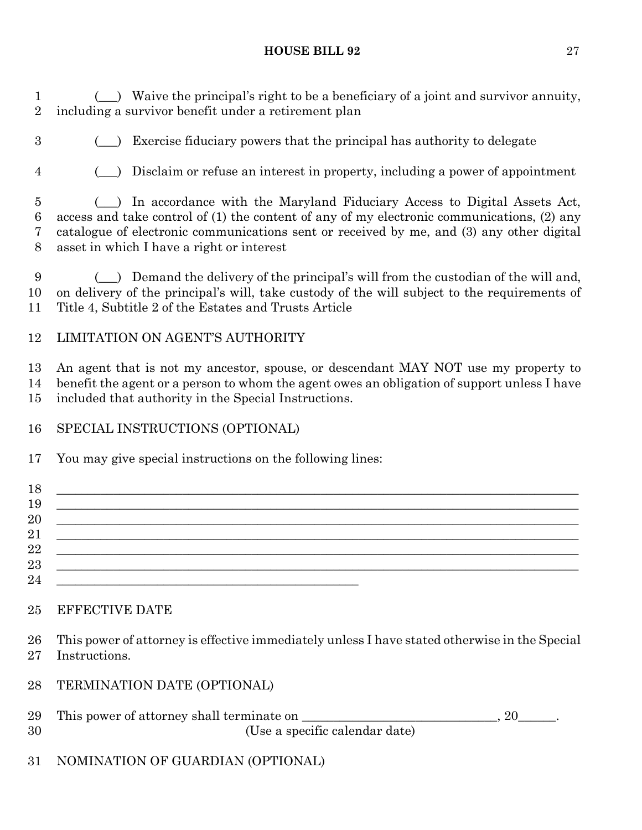1 (i) Waive the principal's right to be a beneficiary of a joint and survivor annuity, including a survivor benefit under a retirement plan

(\_\_\_) Exercise fiduciary powers that the principal has authority to delegate

(\_\_\_) Disclaim or refuse an interest in property, including a power of appointment

 (\_\_\_) In accordance with the Maryland Fiduciary Access to Digital Assets Act, access and take control of (1) the content of any of my electronic communications, (2) any catalogue of electronic communications sent or received by me, and (3) any other digital asset in which I have a right or interest

 (\_\_\_) Demand the delivery of the principal's will from the custodian of the will and, on delivery of the principal's will, take custody of the will subject to the requirements of Title 4, Subtitle 2 of the Estates and Trusts Article

## LIMITATION ON AGENT'S AUTHORITY

 An agent that is not my ancestor, spouse, or descendant MAY NOT use my property to benefit the agent or a person to whom the agent owes an obligation of support unless I have included that authority in the Special Instructions.

## SPECIAL INSTRUCTIONS (OPTIONAL)

You may give special instructions on the following lines:

| 18 |  |
|----|--|
| 19 |  |
| 20 |  |
| 21 |  |
| 22 |  |
| 23 |  |
| 24 |  |

## EFFECTIVE DATE

 This power of attorney is effective immediately unless I have stated otherwise in the Special Instructions.

TERMINATION DATE (OPTIONAL)

|    | 29 This power of attorney shall terminate on |  |
|----|----------------------------------------------|--|
| 30 | (Use a specific calendar date)               |  |

NOMINATION OF GUARDIAN (OPTIONAL)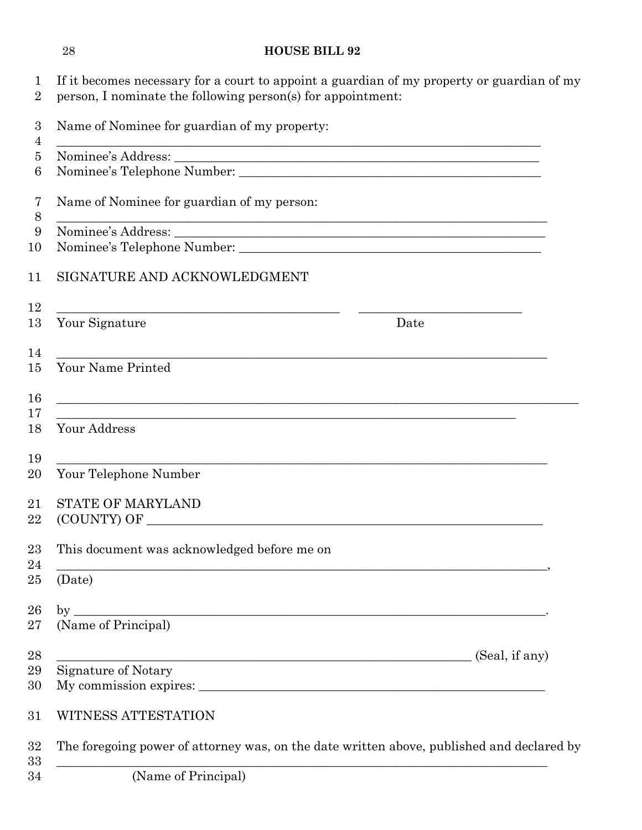| 1<br>$\overline{2}$ | If it becomes necessary for a court to appoint a guardian of my property or guardian of my<br>person, I nominate the following person(s) for appointment:              |
|---------------------|------------------------------------------------------------------------------------------------------------------------------------------------------------------------|
| 3<br>4              | Name of Nominee for guardian of my property:<br><u> 1989 - Johann Stoff, deutscher Stoffen und der Stoffen und der Stoffen und der Stoffen und der Stoffen und der</u> |
| 5                   |                                                                                                                                                                        |
| 6                   |                                                                                                                                                                        |
| 7<br>$8\,$          | Name of Nominee for guardian of my person:<br><u> 1989 - Johann John Harry Barn, mars and deutscher Stadt and deutscher Stadt and deutscher Stadt and deutsch</u> e    |
| 9                   |                                                                                                                                                                        |
| 10                  |                                                                                                                                                                        |
| 11                  | SIGNATURE AND ACKNOWLEDGMENT                                                                                                                                           |
| 12                  |                                                                                                                                                                        |
| 13                  | Your Signature<br>Date                                                                                                                                                 |
| 14<br>15            | <u> 1989 - Johann John Harry Harry Harry Harry Harry Harry Harry Harry Harry Harry Harry Harry Harry Harry Harry</u><br>Your Name Printed                              |
| 16                  | <u> 1989 - Johann Stoff, amerikansk politiker (d. 1989)</u>                                                                                                            |
| 17                  | ,我们也不能在这里的时候,我们也不能在这里的时候,我们也不能在这里的时候,我们也不能会不能会不能会不能会不能会不能会不能会。<br>第2012章 我们的时候,我们的时候,我们的时候,我们的时候,我们的时候,我们的时候,我们的时候,我们的时候,我们的时候,我们的时候,我们的时候,我们的时候,我                     |
| 18                  | Your Address                                                                                                                                                           |
| 19                  |                                                                                                                                                                        |
| 20                  | Your Telephone Number                                                                                                                                                  |
| 21                  | <b>STATE OF MARYLAND</b>                                                                                                                                               |
| 22                  | (COUNTY) OF                                                                                                                                                            |
| 23                  | This document was acknowledged before me on                                                                                                                            |
| 24<br>25            | (Date)                                                                                                                                                                 |
| 26                  | $by_$<br><u> 1989 - Johann John Stone, markin sanadi amerikan bahasa dalam bahasa dalam bahasa dalam bahasa dalam bahasa d</u>                                         |
| 27                  | (Name of Principal)                                                                                                                                                    |
| 28                  | (Seal, if any)<br><u> 1999 - Jan James James James James James James James James James James James James James James James James J</u>                                 |
| 29                  | Signature of Notary                                                                                                                                                    |
| 30                  |                                                                                                                                                                        |
| 31                  | WITNESS ATTESTATION                                                                                                                                                    |
| 32<br>33            | The foregoing power of attorney was, on the date written above, published and declared by                                                                              |
| 34                  | (Name of Principal)                                                                                                                                                    |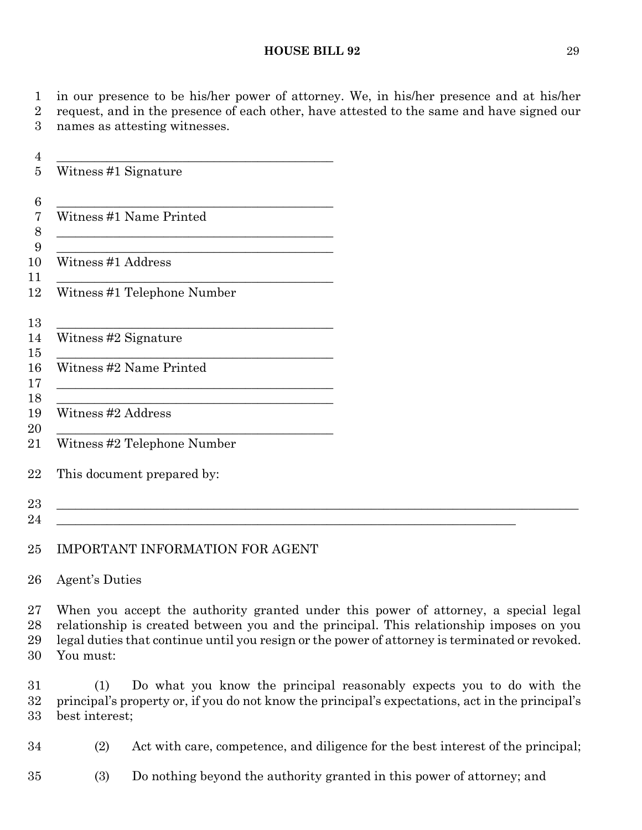in our presence to be his/her power of attorney. We, in his/her presence and at his/her request, and in the presence of each other, have attested to the same and have signed our names as attesting witnesses.

|                                         | Witness #1 Signature                                                                                                                                                                                                                                                     |  |  |  |
|-----------------------------------------|--------------------------------------------------------------------------------------------------------------------------------------------------------------------------------------------------------------------------------------------------------------------------|--|--|--|
|                                         | Witness #1 Name Printed                                                                                                                                                                                                                                                  |  |  |  |
| $\overline{7}$<br>8<br>$\boldsymbol{9}$ | <u> 1989 - Johann Barbara, margaret eta idazlea (h. 1989).</u>                                                                                                                                                                                                           |  |  |  |
|                                         | <u> 1989 - Johann Stoff, deutscher Stoffen und der Stoffen und der Stoffen und der Stoffen und der Stoffen und der</u><br>Witness #1 Address                                                                                                                             |  |  |  |
|                                         | Witness #1 Telephone Number                                                                                                                                                                                                                                              |  |  |  |
|                                         | <u> 1989 - Johann Stoff, amerikansk politiker (* 1908)</u><br>Witness #2 Signature                                                                                                                                                                                       |  |  |  |
|                                         | <u> 1989 - Johann Stoff, deutscher Stoff, der Stoff, der Stoff, der Stoff, der Stoff, der Stoff, der Stoff, der S</u><br>Witness #2 Name Printed<br><u> 1989 - Johann Barn, mars ann an t-Amhain Aonaich an t-Aonaich an t-Aonaich ann an t-Aonaich ann an t-Aonaich</u> |  |  |  |
|                                         | <u> 1989 - Johann Barn, mars ann an t-Amhain ann an t-Amhain an t-Amhain ann an t-Amhain an t-Amhain ann an t-Amh</u><br>Witness #2 Address                                                                                                                              |  |  |  |
|                                         | Witness #2 Telephone Number                                                                                                                                                                                                                                              |  |  |  |
|                                         | This document prepared by:                                                                                                                                                                                                                                               |  |  |  |
|                                         | a se provincia de la construcción de la construcción de la construcción de la construcción de la construcción                                                                                                                                                            |  |  |  |
| 24                                      |                                                                                                                                                                                                                                                                          |  |  |  |

### IMPORTANT INFORMATION FOR AGENT

#### Agent's Duties

 When you accept the authority granted under this power of attorney, a special legal relationship is created between you and the principal. This relationship imposes on you legal duties that continue until you resign or the power of attorney is terminated or revoked. You must:

 (1) Do what you know the principal reasonably expects you to do with the principal's property or, if you do not know the principal's expectations, act in the principal's best interest;

(2) Act with care, competence, and diligence for the best interest of the principal;

(3) Do nothing beyond the authority granted in this power of attorney; and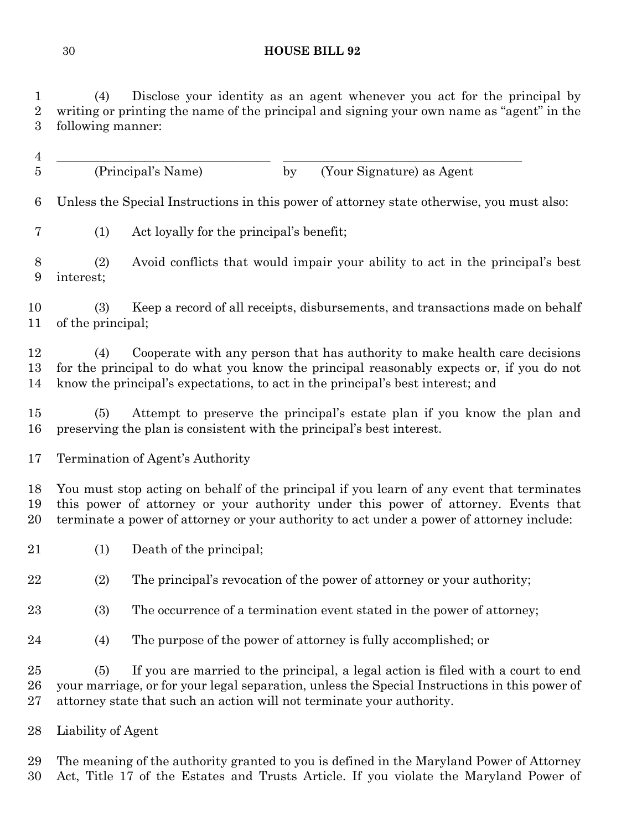(4) Disclose your identity as an agent whenever you act for the principal by writing or printing the name of the principal and signing your own name as "agent" in the following manner:

  $\overline{\phantom{a}}$  (Principal's Name) by (Your Signature) as Agent Unless the Special Instructions in this power of attorney state otherwise, you must also: (1) Act loyally for the principal's benefit; (2) Avoid conflicts that would impair your ability to act in the principal's best interest; (3) Keep a record of all receipts, disbursements, and transactions made on behalf of the principal; (4) Cooperate with any person that has authority to make health care decisions for the principal to do what you know the principal reasonably expects or, if you do not know the principal's expectations, to act in the principal's best interest; and (5) Attempt to preserve the principal's estate plan if you know the plan and preserving the plan is consistent with the principal's best interest. Termination of Agent's Authority You must stop acting on behalf of the principal if you learn of any event that terminates

 this power of attorney or your authority under this power of attorney. Events that terminate a power of attorney or your authority to act under a power of attorney include:

(1) Death of the principal;

(2) The principal's revocation of the power of attorney or your authority;

(3) The occurrence of a termination event stated in the power of attorney;

(4) The purpose of the power of attorney is fully accomplished; or

 (5) If you are married to the principal, a legal action is filed with a court to end your marriage, or for your legal separation, unless the Special Instructions in this power of attorney state that such an action will not terminate your authority.

Liability of Agent

 The meaning of the authority granted to you is defined in the Maryland Power of Attorney Act, Title 17 of the Estates and Trusts Article. If you violate the Maryland Power of